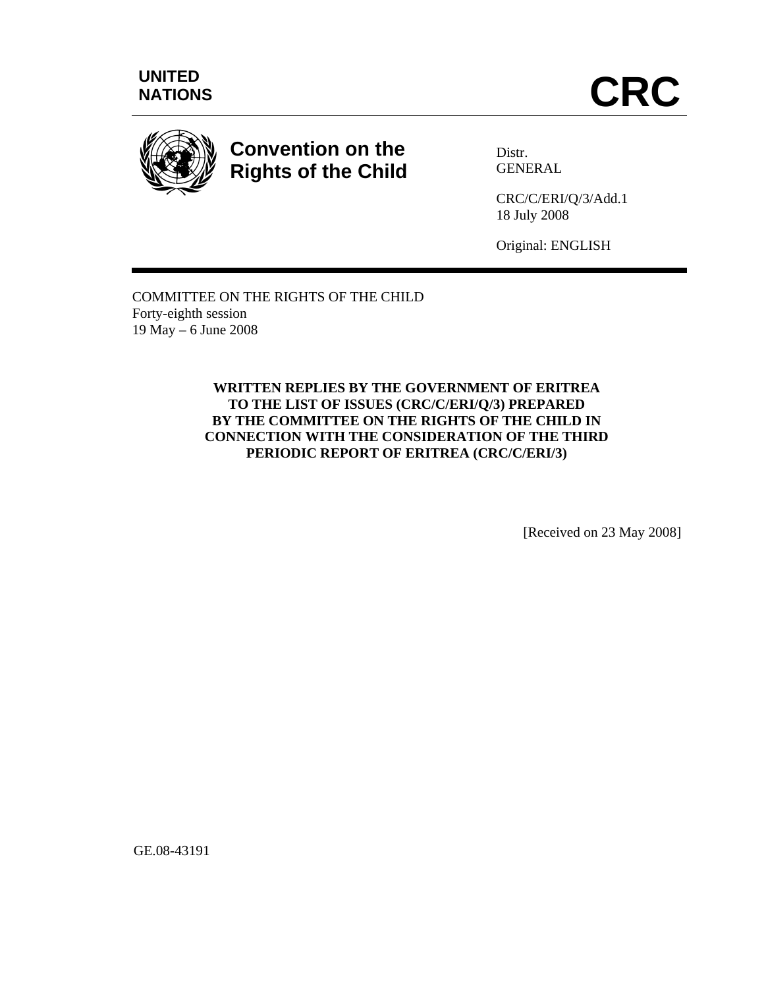



# **Convention on the Rights of the Child**

Distr. **GENERAL** 

CRC/C/ERI/Q/3/Add.1 18 July 2008

Original: ENGLISH

COMMITTEE ON THE RIGHTS OF THE CHILD Forty-eighth session 19 May – 6 June 2008

> **WRITTEN REPLIES BY THE GOVERNMENT OF ERITREA TO THE LIST OF ISSUES (CRC/C/ERI/Q/3) PREPARED BY THE COMMITTEE ON THE RIGHTS OF THE CHILD IN CONNECTION WITH THE CONSIDERATION OF THE THIRD PERIODIC REPORT OF ERITREA (CRC/C/ERI/3)**

> > [Received on 23 May 2008]

GE.08-43191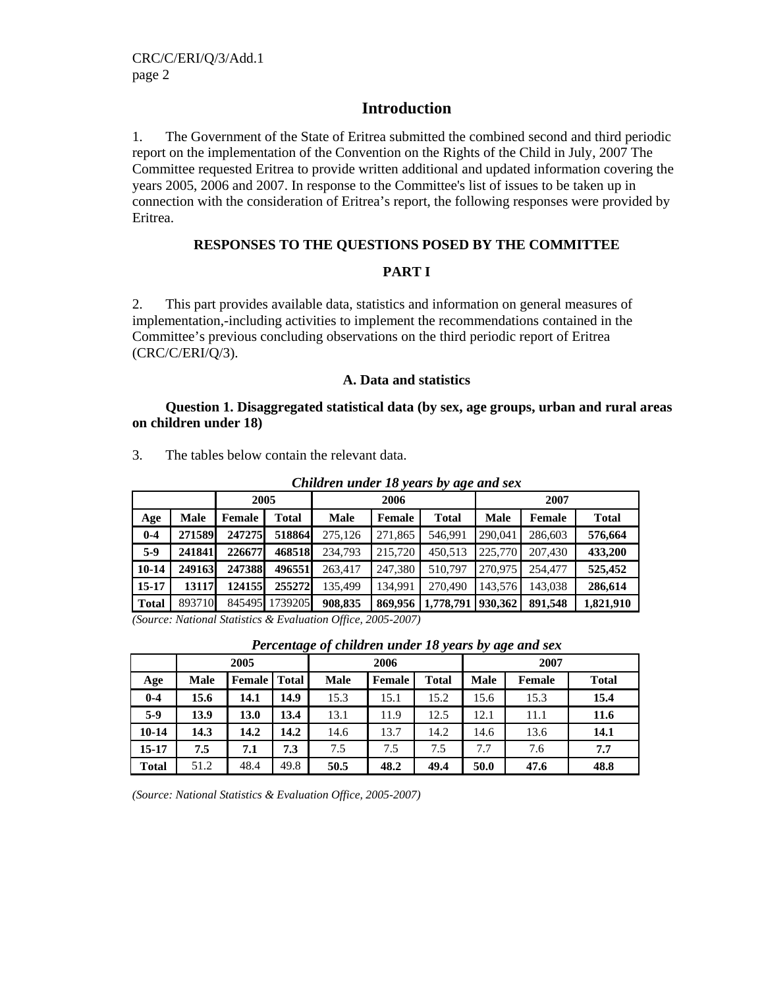### **Introduction**

1. The Government of the State of Eritrea submitted the combined second and third periodic report on the implementation of the Convention on the Rights of the Child in July, 2007 The Committee requested Eritrea to provide written additional and updated information covering the years 2005, 2006 and 2007. In response to the Committee's list of issues to be taken up in connection with the consideration of Eritrea's report, the following responses were provided by Eritrea.

### **RESPONSES TO THE QUESTIONS POSED BY THE COMMITTEE**

### **PART I**

2. This part provides available data, statistics and information on general measures of implementation,-including activities to implement the recommendations contained in the Committee's previous concluding observations on the third periodic report of Eritrea (CRC/C/ERI/Q/3).

#### **A. Data and statistics**

#### **Question 1. Disaggregated statistical data (by sex, age groups, urban and rural areas on children under 18)**

|              | witter the telectricity<br>$10$ , $10$ $10$ , $0$ , $10$ , $00$ , $00$ , $00$ , $00$ |                                                                                                                                                                                                                                                                                                                                                                                      |              |             |                                                                   |           |             |         |              |  |  |  |  |
|--------------|--------------------------------------------------------------------------------------|--------------------------------------------------------------------------------------------------------------------------------------------------------------------------------------------------------------------------------------------------------------------------------------------------------------------------------------------------------------------------------------|--------------|-------------|-------------------------------------------------------------------|-----------|-------------|---------|--------------|--|--|--|--|
|              |                                                                                      | 2005                                                                                                                                                                                                                                                                                                                                                                                 |              |             | 2006                                                              |           | 2007        |         |              |  |  |  |  |
| Age          | Male                                                                                 | Female                                                                                                                                                                                                                                                                                                                                                                               | <b>Total</b> | <b>Male</b> | Female                                                            | Total     | <b>Male</b> | Female  | <b>Total</b> |  |  |  |  |
| $0-4$        | 271589                                                                               | 247275                                                                                                                                                                                                                                                                                                                                                                               | 518864       | 275,126     | 271,865                                                           | 546.991   | 290,041     | 286,603 | 576,664      |  |  |  |  |
| $5-9$        | 241841                                                                               | 226677                                                                                                                                                                                                                                                                                                                                                                               | 468518       | 234.793     | 215,720                                                           | 450.513   | 225,770     | 207,430 | 433,200      |  |  |  |  |
| $10-14$      | 249163                                                                               | 247388                                                                                                                                                                                                                                                                                                                                                                               | 496551       | 263.417     | 247,380                                                           | 510,797   | 270,975     | 254,477 | 525,452      |  |  |  |  |
| $15-17$      | 13117                                                                                | 124155                                                                                                                                                                                                                                                                                                                                                                               | 255272       | 135.499     | 134.991                                                           | 270,490   | 143,576     | 143,038 | 286,614      |  |  |  |  |
| <b>Total</b> | 893710                                                                               | 845495                                                                                                                                                                                                                                                                                                                                                                               | 1739205      | 908,835     | 869,956                                                           | 1,778,791 | 930,362     | 891.548 | 1,821,910    |  |  |  |  |
| $\sim$       | $\cdots$                                                                             | $\overline{1}$ $\overline{1}$ $\overline{1}$ $\overline{1}$ $\overline{1}$ $\overline{1}$ $\overline{1}$ $\overline{1}$ $\overline{1}$ $\overline{1}$ $\overline{1}$ $\overline{1}$ $\overline{1}$ $\overline{1}$ $\overline{1}$ $\overline{1}$ $\overline{1}$ $\overline{1}$ $\overline{1}$ $\overline{1}$ $\overline{1}$ $\overline{1}$ $\overline{1}$ $\overline{1}$ $\overline{$ |              |             | $\bullet$ $\circ$ $\bullet$ $\bullet$ $\circ$ $\bullet$ $\bullet$ |           |             |         |              |  |  |  |  |

3. The tables below contain the relevant data.

*Children under 18 years by age and sex*

*(Source: National Statistics & Evaluation Office, 2005-2007)* 

|              |             | 2005                |      |             | 2006   |              | 2007        |               |              |  |
|--------------|-------------|---------------------|------|-------------|--------|--------------|-------------|---------------|--------------|--|
| Age          | <b>Male</b> | <b>Female</b> Total |      | <b>Male</b> | Female | <b>Total</b> | <b>Male</b> | <b>Female</b> | <b>Total</b> |  |
| $0 - 4$      | 15.6        | 14.1                | 14.9 | 15.3        | 15.1   | 15.2         | 15.6        | 15.3          | 15.4         |  |
| $5-9$        | 13.9        | 13.0                | 13.4 | 13.1        | 11.9   | 12.5         | 12.1        | 11.1          | 11.6         |  |
| $10 - 14$    | 14.3        | 14.2                | 14.2 | 14.6        | 13.7   | 14.2         | 14.6        | 13.6          | 14.1         |  |
| 15-17        | 7.5         | 7.1                 | 7.3  | 7.5         | 7.5    | 7.5          | 7.7         | 7.6           | 7.7          |  |
| <b>Total</b> | 51.2        | 48.4                | 49.8 | 50.5        | 48.2   | 49.4         | 50.0        | 47.6          | 48.8         |  |

*(Source: National Statistics & Evaluation Office, 2005-2007)*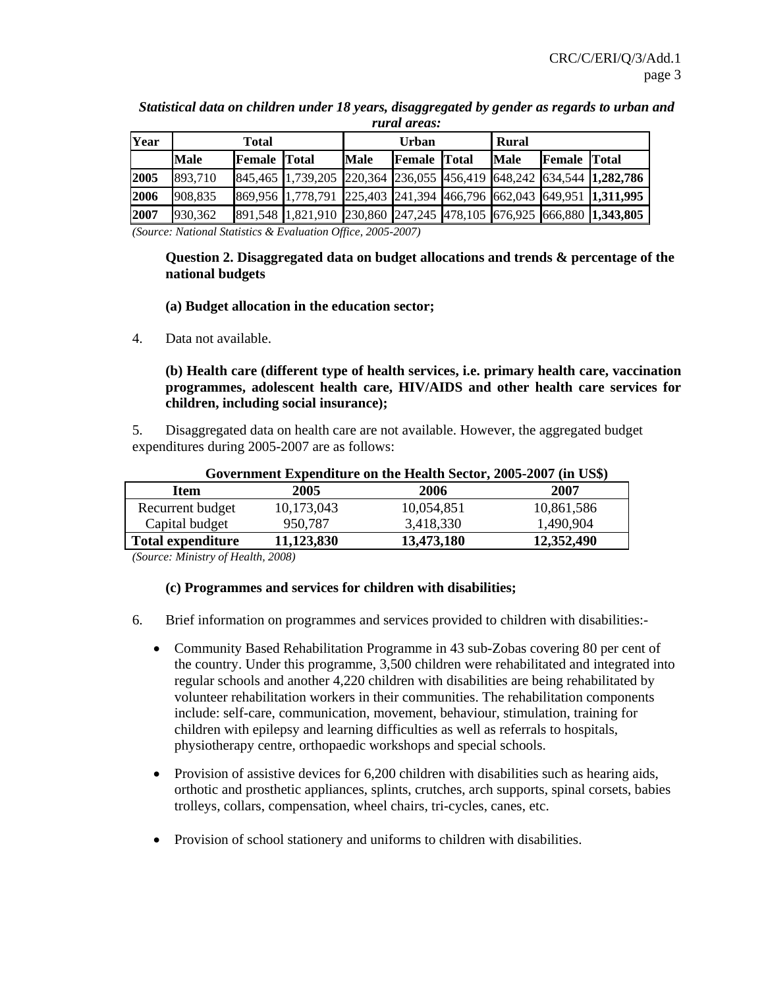|      |             |                     |                                                                     |             | <i>rurat areas:</i> |              |                     |  |
|------|-------------|---------------------|---------------------------------------------------------------------|-------------|---------------------|--------------|---------------------|--|
| Year |             | <b>Total</b>        |                                                                     |             | <b>Urban</b>        | <b>Rural</b> |                     |  |
|      | <b>Male</b> | <b>Female</b> Total |                                                                     | <b>Male</b> | <b>Female</b> Total | <b>Male</b>  | <b>Female Total</b> |  |
| 2005 | 893,710     |                     | 845,465 1,739,205 220,364 236,055 456,419 648,242 634,544 1,282,786 |             |                     |              |                     |  |
| 2006 | 908,835     |                     | 869,956 1,778,791 225,403 241,394 466,796 662,043 649,951 1,311,995 |             |                     |              |                     |  |
| 2007 | 930,362     |                     | 891,548 1,821,910 230,860 247,245 478,105 676,925 666,880 1,343,805 |             |                     |              |                     |  |

*Statistical data on children under 18 years, disaggregated by gender as regards to urban and rural areas:* 

*(Source: National Statistics & Evaluation Office, 2005-2007)*

### **Question 2. Disaggregated data on budget allocations and trends & percentage of the national budgets**

#### **(a) Budget allocation in the education sector;**

4. Data not available.

 **(b) Health care (different type of health services, i.e. primary health care, vaccination programmes, adolescent health care, HIV/AIDS and other health care services for children, including social insurance);** 

5. Disaggregated data on health care are not available. However, the aggregated budget expenditures during 2005-2007 are as follows:

|                          |            | Government Expenditure on the Health Sector, 2005-2007 (in US\$) |            |
|--------------------------|------------|------------------------------------------------------------------|------------|
| <b>Item</b>              | 2005       | 2006                                                             | 2007       |
| Recurrent budget         | 10,173,043 | 10,054,851                                                       | 10,861,586 |
| Capital budget           | 950,787    | 3,418,330                                                        | 1,490,904  |
| <b>Total expenditure</b> | 11,123,830 | 13,473,180                                                       | 12,352,490 |

*(Source: Ministry of Health, 2008)* 

#### **(c) Programmes and services for children with disabilities;**

- 6. Brief information on programmes and services provided to children with disabilities:-
	- Community Based Rehabilitation Programme in 43 sub-Zobas covering 80 per cent of the country. Under this programme, 3,500 children were rehabilitated and integrated into regular schools and another 4,220 children with disabilities are being rehabilitated by volunteer rehabilitation workers in their communities. The rehabilitation components include: self-care, communication, movement, behaviour, stimulation, training for children with epilepsy and learning difficulties as well as referrals to hospitals, physiotherapy centre, orthopaedic workshops and special schools.
	- Provision of assistive devices for 6,200 children with disabilities such as hearing aids, orthotic and prosthetic appliances, splints, crutches, arch supports, spinal corsets, babies trolleys, collars, compensation, wheel chairs, tri-cycles, canes, etc.
	- Provision of school stationery and uniforms to children with disabilities.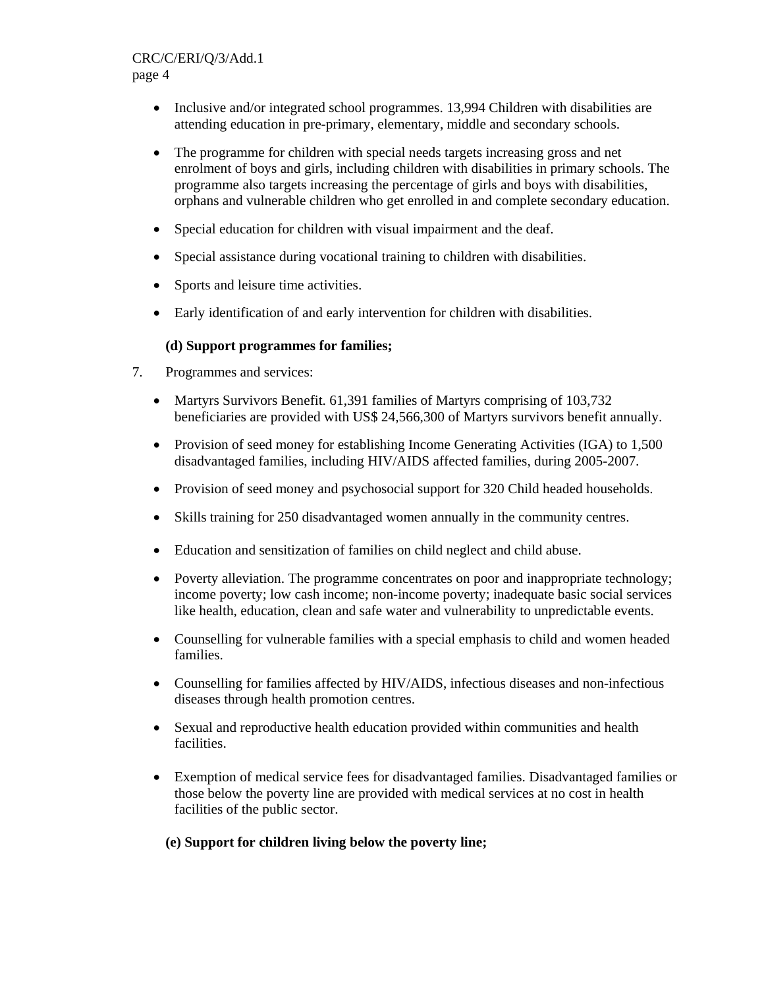### CRC/C/ERI/Q/3/Add.1 page 4

- Inclusive and/or integrated school programmes. 13,994 Children with disabilities are attending education in pre-primary, elementary, middle and secondary schools.
- The programme for children with special needs targets increasing gross and net enrolment of boys and girls, including children with disabilities in primary schools. The programme also targets increasing the percentage of girls and boys with disabilities, orphans and vulnerable children who get enrolled in and complete secondary education.
- Special education for children with visual impairment and the deaf.
- Special assistance during vocational training to children with disabilities.
- Sports and leisure time activities.
- Early identification of and early intervention for children with disabilities.

### **(d) Support programmes for families;**

- 7. Programmes and services:
	- Martyrs Survivors Benefit. 61,391 families of Martyrs comprising of 103,732 beneficiaries are provided with US\$ 24,566,300 of Martyrs survivors benefit annually.
	- Provision of seed money for establishing Income Generating Activities (IGA) to 1,500 disadvantaged families, including HIV/AIDS affected families, during 2005-2007.
	- Provision of seed money and psychosocial support for 320 Child headed households.
	- Skills training for 250 disadvantaged women annually in the community centres.
	- Education and sensitization of families on child neglect and child abuse.
	- Poverty alleviation. The programme concentrates on poor and inappropriate technology; income poverty; low cash income; non-income poverty; inadequate basic social services like health, education, clean and safe water and vulnerability to unpredictable events.
	- Counselling for vulnerable families with a special emphasis to child and women headed families.
	- Counselling for families affected by HIV/AIDS, infectious diseases and non-infectious diseases through health promotion centres.
	- Sexual and reproductive health education provided within communities and health facilities.
	- Exemption of medical service fees for disadvantaged families. Disadvantaged families or those below the poverty line are provided with medical services at no cost in health facilities of the public sector.

### **(e) Support for children living below the poverty line;**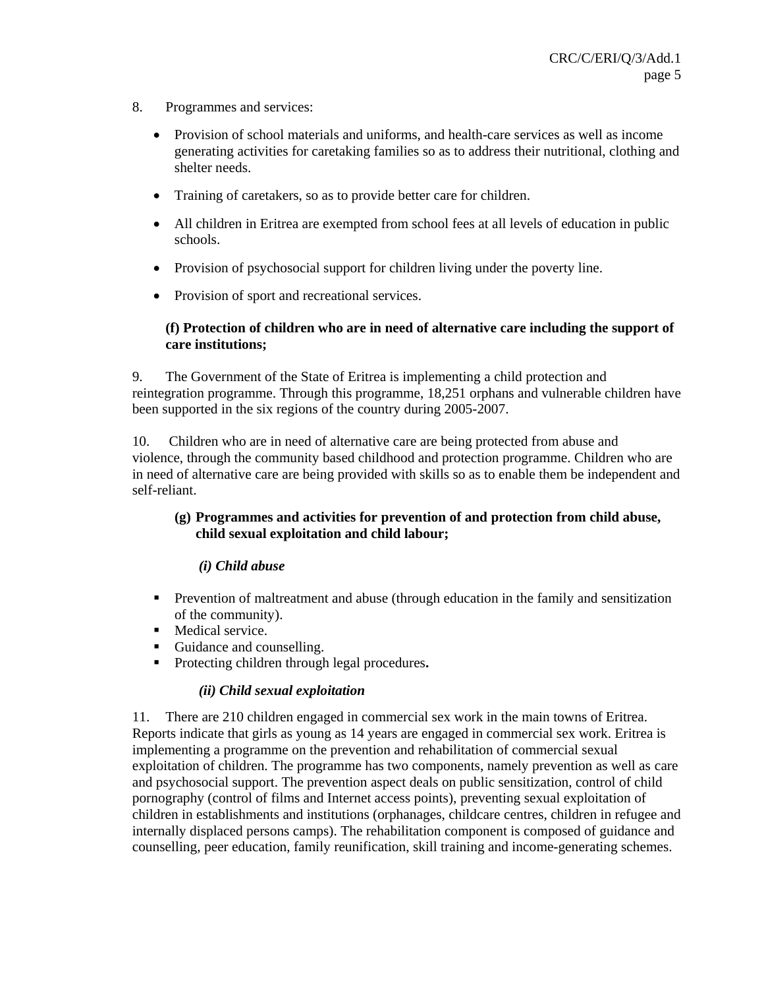- 8. Programmes and services:
	- Provision of school materials and uniforms, and health-care services as well as income generating activities for caretaking families so as to address their nutritional, clothing and shelter needs.
	- Training of caretakers, so as to provide better care for children.
	- All children in Eritrea are exempted from school fees at all levels of education in public schools.
	- Provision of psychosocial support for children living under the poverty line.
	- Provision of sport and recreational services.

### **(f) Protection of children who are in need of alternative care including the support of care institutions;**

9. The Government of the State of Eritrea is implementing a child protection and reintegration programme. Through this programme, 18,251 orphans and vulnerable children have been supported in the six regions of the country during 2005-2007.

10. Children who are in need of alternative care are being protected from abuse and violence, through the community based childhood and protection programme. Children who are in need of alternative care are being provided with skills so as to enable them be independent and self-reliant.

### **(g) Programmes and activities for prevention of and protection from child abuse, child sexual exploitation and child labour;**

#### *(i) Child abuse*

- **Prevention of maltreatment and abuse (through education in the family and sensitization** of the community).
- **Medical service**
- Guidance and counselling.
- Protecting children through legal procedures**.**

#### *(ii) Child sexual exploitation*

11. There are 210 children engaged in commercial sex work in the main towns of Eritrea. Reports indicate that girls as young as 14 years are engaged in commercial sex work. Eritrea is implementing a programme on the prevention and rehabilitation of commercial sexual exploitation of children. The programme has two components, namely prevention as well as care and psychosocial support. The prevention aspect deals on public sensitization, control of child pornography (control of films and Internet access points), preventing sexual exploitation of children in establishments and institutions (orphanages, childcare centres, children in refugee and internally displaced persons camps). The rehabilitation component is composed of guidance and counselling, peer education, family reunification, skill training and income-generating schemes.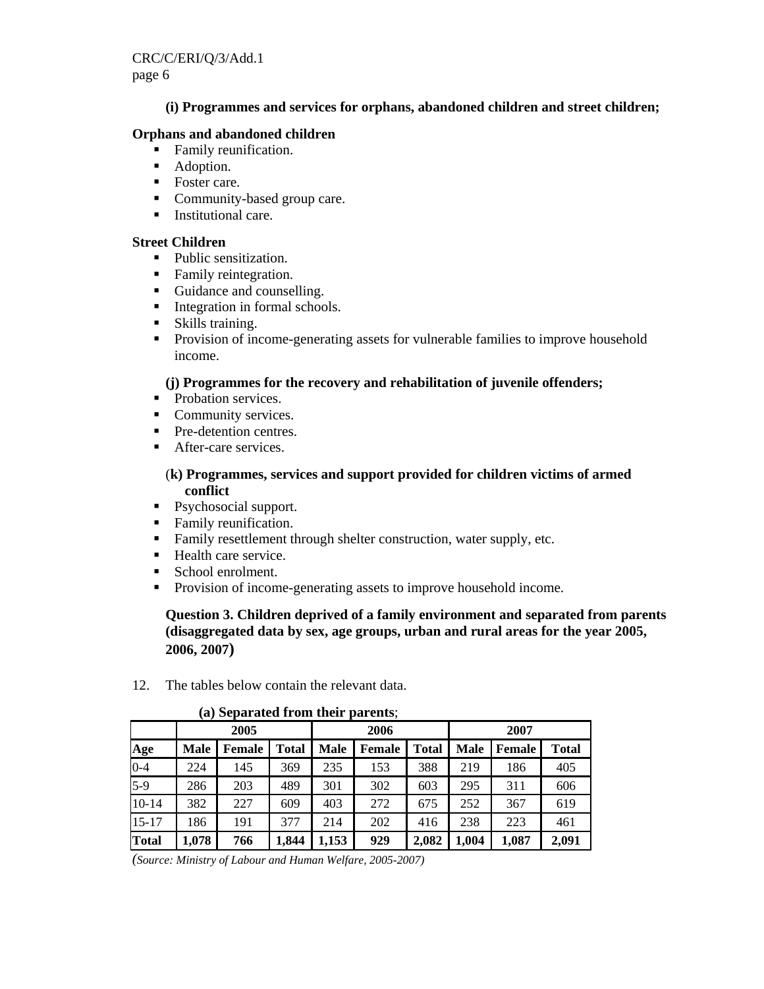### **(i) Programmes and services for orphans, abandoned children and street children;**

### **Orphans and abandoned children**

- Family reunification.
- Adoption.
- Foster care.
- Community-based group care.
- **Institutional care.**

#### **Street Children**

- Public sensitization.
- Family reintegration.
- Guidance and counselling.
- **Integration in formal schools.**
- **Skills training.**
- Provision of income-generating assets for vulnerable families to improve household income.

### **(j) Programmes for the recovery and rehabilitation of juvenile offenders;**

- Probation services.
- Community services.
- **Pre-detention centres.**
- **After-care services.**

### (**k) Programmes, services and support provided for children victims of armed conflict**

- Psychosocial support.
- Family reunification.
- Family resettlement through shelter construction, water supply, etc.
- Health care service.
- School enrolment.
- **Provision of income-generating assets to improve household income.**

 **Question 3. Children deprived of a family environment and separated from parents (disaggregated data by sex, age groups, urban and rural areas for the year 2005, 2006, 2007)** 

12. The tables below contain the relevant data.

|              | $\cdots$ $\sim$ $\cdots$ |               |              |             |               |              |             |        |              |  |  |  |  |
|--------------|--------------------------|---------------|--------------|-------------|---------------|--------------|-------------|--------|--------------|--|--|--|--|
|              |                          | 2005          |              |             | 2006          |              |             | 2007   |              |  |  |  |  |
| Age          | <b>Male</b>              | <b>Female</b> | <b>Total</b> | <b>Male</b> | <b>Female</b> | <b>Total</b> | <b>Male</b> | Female | <b>Total</b> |  |  |  |  |
| $0 - 4$      | 224                      | 145           | 369          | 235         | 153           | 388          | 219         | 186    | 405          |  |  |  |  |
| $5-9$        | 286                      | 203           | 489          | 301         | 302           | 603          | 295         | 311    | 606          |  |  |  |  |
| $10 - 14$    | 382                      | 227           | 609          | 403         | 272           | 675          | 252         | 367    | 619          |  |  |  |  |
| $15 - 17$    | 186                      | 191           | 377          | 214         | 202           | 416          | 238         | 223    | 461          |  |  |  |  |
| <b>Total</b> | 1,078                    | 766           | 1,844        | 1,153       | 929           | 2,082        | 1,004       | 1,087  | 2,091        |  |  |  |  |

#### **(a) Separated from their parents**;

*(Source: Ministry of Labour and Human Welfare, 2005-2007)*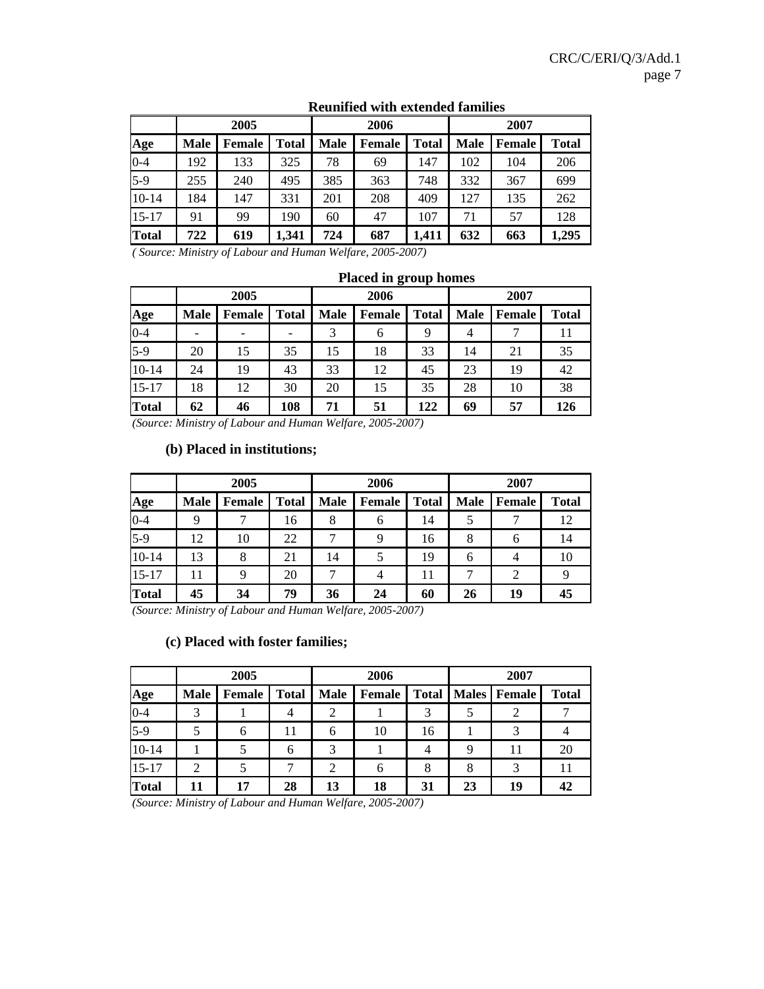|              |             | 2005          |              |             | 2006          |              | 2007 |               |              |  |
|--------------|-------------|---------------|--------------|-------------|---------------|--------------|------|---------------|--------------|--|
| Age          | <b>Male</b> | <b>Female</b> | <b>Total</b> | <b>Male</b> | <b>Female</b> | <b>Total</b> | Male | <b>Female</b> | <b>Total</b> |  |
| $0 - 4$      | 192         | 133           | 325          | 78          | 69            | 147          | 102  | 104           | 206          |  |
| $5-9$        | 255         | 240           | 495          | 385         | 363           | 748          | 332  | 367           | 699          |  |
| $10-14$      | 184         | 147           | 331          | 201         | 208           | 409          | 127  | 135           | 262          |  |
| $15 - 17$    | 91          | 99            | 190          | 60          | 47            | 107          | 71   | 57            | 128          |  |
| <b>Total</b> | 722         | 619           | 1,341        | 724         | 687           | 1,411        | 632  | 663           | 1,295        |  |

### **Reunified with extended families**

*( Source: Ministry of Labour and Human Welfare, 2005-2007)* 

|           | 2005        |        |              | 2006        |               |              | 2007        |               |       |
|-----------|-------------|--------|--------------|-------------|---------------|--------------|-------------|---------------|-------|
| Age       | <b>Male</b> | Female | <b>Total</b> | <b>Male</b> | <b>Female</b> | <b>Total</b> | <b>Male</b> | <b>Female</b> | Total |
| $0 - 4$   |             | -      |              |             | 6             | 9            | 4           |               | 11    |
| $5-9$     | 20          | 15     | 35           | 15          | 18            | 33           | 14          | 21            | 35    |
| $10 - 14$ | 24          | 19     | 43           | 33          | 12            | 45           | 23          | 19            | 42    |
| $15 - 17$ | 18          | 12     | 30           | 20          | 15            | 35           | 28          | 10            | 38    |
| Total     | 62          | 46     | 108          | 71          | 51            | 122          | 69          | 57            | 126   |

#### **Placed in group homes**

*(Source: Ministry of Labour and Human Welfare, 2005-2007)* 

#### **(b) Placed in institutions;**

|              |             | 2005          |              |             | 2006          |              | 2007        |                |              |
|--------------|-------------|---------------|--------------|-------------|---------------|--------------|-------------|----------------|--------------|
| Age          | <b>Male</b> | <b>Female</b> | <b>Total</b> | <b>Male</b> | <b>Female</b> | <b>Total</b> | <b>Male</b> | Female         | <b>Total</b> |
| $0 - 4$      | 9           |               | 16           | 8           | 6             | 14           |             |                | 12           |
| $5-9$        | 12          | 10            | 22           |             | 9             | 16           | 8           | 6              | 14           |
| $10 - 14$    | 13          | 8             | 21           | 14          |               | 19           | 6           | $\overline{4}$ | 10           |
| $15 - 17$    | 11          | 9             | 20           |             | 4             | 11           |             | $\overline{2}$ |              |
| <b>Total</b> | 45          | 34            | 79           | 36          | 24            | 60           | 26          | 19             | 45           |

*(Source: Ministry of Labour and Human Welfare, 2005-2007)* 

### **(c) Placed with foster families;**

|              |             | 2005   |              |             | 2006   |    | 2007 |                               |              |
|--------------|-------------|--------|--------------|-------------|--------|----|------|-------------------------------|--------------|
| Age          | <b>Male</b> | Female | <b>Total</b> | <b>Male</b> | Female |    |      | <b>Total   Males   Female</b> | <b>Total</b> |
| $0 - 4$      |             |        | 4            |             |        | 3  |      |                               |              |
| $5-9$        |             | 6      | 11           | 6           | 10     | 16 |      |                               |              |
| $10 - 14$    |             |        | 6            |             |        | 4  |      | 11                            | 20           |
| $15 - 17$    | 2           |        |              | ◠           | 6      | 8  |      |                               | 11           |
| <b>Total</b> | 11          | 17     | 28           | 13          | 18     | 31 | 23   | 19                            | 42           |

*(Source: Ministry of Labour and Human Welfare, 2005-2007)*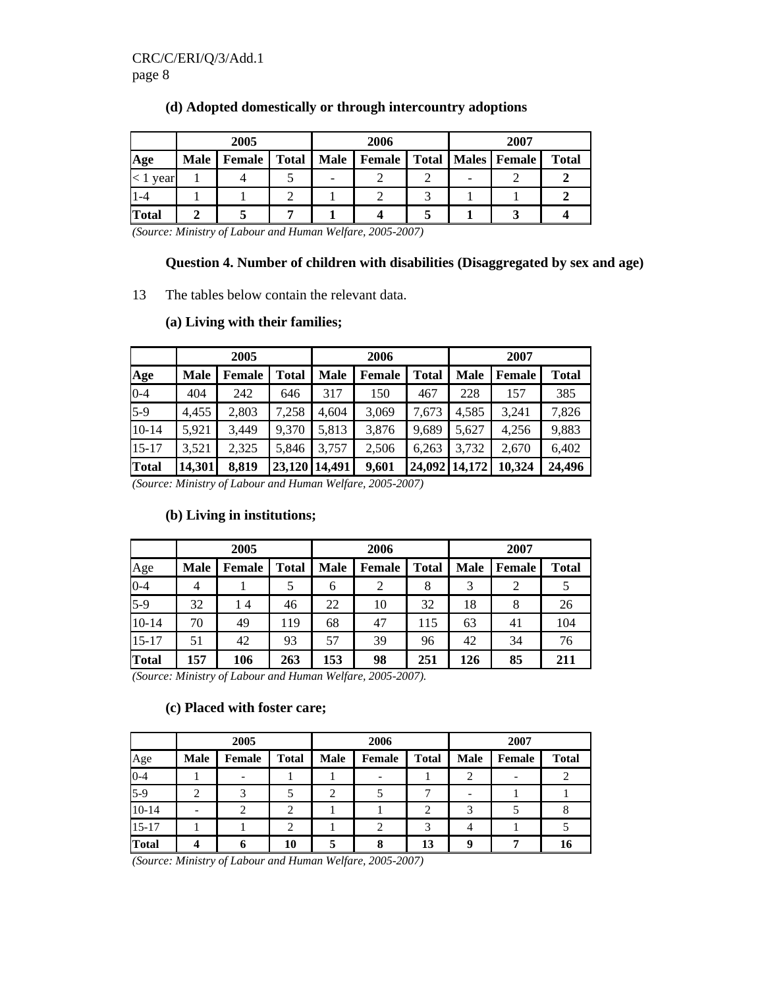|              |             | 2005          |              |             | 2006   |   | 2007                          |              |
|--------------|-------------|---------------|--------------|-------------|--------|---|-------------------------------|--------------|
| Age          | <b>Male</b> | <b>Female</b> | <b>Total</b> | <b>Male</b> | Female |   | <b>Total   Males   Female</b> | <b>Total</b> |
| year         |             |               |              |             |        | - |                               |              |
| $1-4$        |             |               |              |             |        |   |                               |              |
| <b>Total</b> |             |               |              |             |        |   |                               |              |

### **(d) Adopted domestically or through intercountry adoptions**

*(Source: Ministry of Labour and Human Welfare, 2005-2007)* 

#### **Question 4. Number of children with disabilities (Disaggregated by sex and age)**

13 The tables below contain the relevant data.

# **2005 2006 2007 Age Male Female Total Male Female Total Male Female Total**  0-4 | 404 | 242 | 646 | 317 | 150 | 467 | 228 | 157 | 385 5-9 4,455 2,803 7,258 4,604 3,069 7,673 4,585 3,241 7,826 10-14 | 5,921 | 3,449 | 9,370 | 5,813 | 3,876 | 9,689 | 5,627 | 4,256 | 9,883 15-17 | 3,521 | 2,325 | 5,846 | 3,757 | 2,506 | 6,263 | 3,732 | 2,670 | 6,402 **Total 14,301 8,819 23,120 14,491 9,601 24,092 14,172 10,324 24,496**

#### **(a) Living with their families;**

*(Source: Ministry of Labour and Human Welfare, 2005-2007)* 

|              | 2005        |               |              |             | 2006          |              |             | 2007   |              |  |
|--------------|-------------|---------------|--------------|-------------|---------------|--------------|-------------|--------|--------------|--|
| Age          | <b>Male</b> | <b>Female</b> | <b>Total</b> | <b>Male</b> | <b>Female</b> | <b>Total</b> | <b>Male</b> | Female | <b>Total</b> |  |
| $0 - 4$      | 4           |               |              | 6           |               | 8            |             |        |              |  |
| $5-9$        | 32          | 14            | 46           | 22          | 10            | 32           | 18          | 8      | 26           |  |
| $10 - 14$    | 70          | 49            | 119          | 68          | 47            | 115          | 63          | 41     | 104          |  |
| $15 - 17$    | 51          | 42            | 93           | 57          | 39            | 96           | 42          | 34     | 76           |  |
| <b>Total</b> | 157         | 106           | 263          | 153         | 98            | 251          | 126         | 85     | 211          |  |

#### **(b) Living in institutions;**

*(Source: Ministry of Labour and Human Welfare, 2005-2007).* 

#### **(c) Placed with foster care;**

|              |             | 2005                     |              |             | 2006          |                |             |               |              |
|--------------|-------------|--------------------------|--------------|-------------|---------------|----------------|-------------|---------------|--------------|
| Age          | <b>Male</b> | <b>Female</b>            | <b>Total</b> | <b>Male</b> | <b>Female</b> | <b>Total</b>   | <b>Male</b> | <b>Female</b> | <b>Total</b> |
| $0 - 4$      |             | $\overline{\phantom{a}}$ |              |             |               |                | 2           |               | 2            |
| $5-9$        |             |                          |              |             |               |                |             |               |              |
| $10 - 14$    |             | 2                        | 2            |             |               | $\overline{2}$ | 3           |               |              |
| $15 - 17$    |             |                          | 2            |             | $\mathcal{D}$ | 3              |             |               |              |
| <b>Total</b> |             | 6                        | 10           |             | 8             | 13             | Q           | −             | 16           |

*(Source: Ministry of Labour and Human Welfare, 2005-2007)*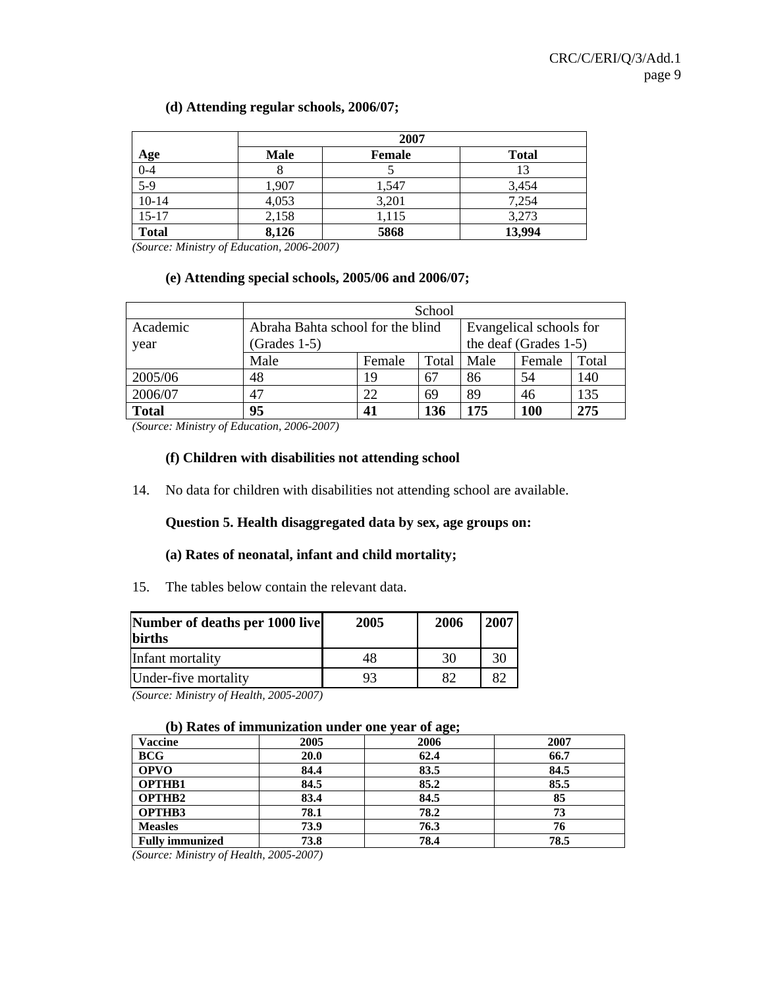#### **(d) Attending regular schools, 2006/07;**

|              | 2007        |               |              |  |  |  |  |  |
|--------------|-------------|---------------|--------------|--|--|--|--|--|
| Age          | <b>Male</b> | <b>Female</b> | <b>Total</b> |  |  |  |  |  |
| $0-4$        |             |               | 13           |  |  |  |  |  |
| $5-9$        | 1,907       | 1,547         | 3,454        |  |  |  |  |  |
| $10-14$      | 4,053       | 3,201         | 7,254        |  |  |  |  |  |
| $15 - 17$    | 2,158       | 1,115         | 3,273        |  |  |  |  |  |
| <b>Total</b> | 8,126       | 5868          | 13,994       |  |  |  |  |  |

*(Source: Ministry of Education, 2006-2007)* 

#### **(e) Attending special schools, 2005/06 and 2006/07;**

|                  |                                                     | School |                                                  |      |        |       |  |  |
|------------------|-----------------------------------------------------|--------|--------------------------------------------------|------|--------|-------|--|--|
| Academic<br>year | Abraha Bahta school for the blind<br>$(Grades 1-5)$ |        | Evangelical schools for<br>the deaf (Grades 1-5) |      |        |       |  |  |
|                  | Male                                                | Female | Total                                            | Male | Female | Total |  |  |
| 2005/06          | 48                                                  | 19     | 67                                               | 86   | 54     | 140   |  |  |
| 2006/07          | 47                                                  | 22     | 69                                               | 89   | 46     | 135   |  |  |
| <b>Total</b>     | 95                                                  | 41     | 136                                              | 175  | 100    | 275   |  |  |

*(Source: Ministry of Education, 2006-2007)* 

#### **(f) Children with disabilities not attending school**

14. No data for children with disabilities not attending school are available.

### **Question 5. Health disaggregated data by sex, age groups on:**

#### **(a) Rates of neonatal, infant and child mortality;**

15. The tables below contain the relevant data.

| Number of deaths per 1000 live<br><b>births</b> | 2005 | 2006 | 2007 |
|-------------------------------------------------|------|------|------|
| Infant mortality                                | 48   | 30   | 30   |
| Under-five mortality                            |      | 82   | 82   |

*(Source: Ministry of Health, 2005-2007)* 

#### **(b) Rates of immunization under one year of age;**

| $\cdots$<br><b>Vaccine</b> | 2005 | $-5.7$<br>2006 | 2007 |
|----------------------------|------|----------------|------|
| <b>BCG</b>                 | 20.0 | 62.4           | 66.7 |
| <b>OPVO</b>                | 84.4 | 83.5           | 84.5 |
| <b>OPTHB1</b>              | 84.5 | 85.2           | 85.5 |
| <b>OPTHB2</b>              | 83.4 | 84.5           | 85   |
| OPTHB3                     | 78.1 | 78.2           | 73   |
| <b>Measles</b>             | 73.9 | 76.3           | 76   |
| <b>Fully immunized</b>     | 73.8 | 78.4           | 78.5 |

*(Source: Ministry of Health, 2005-2007)*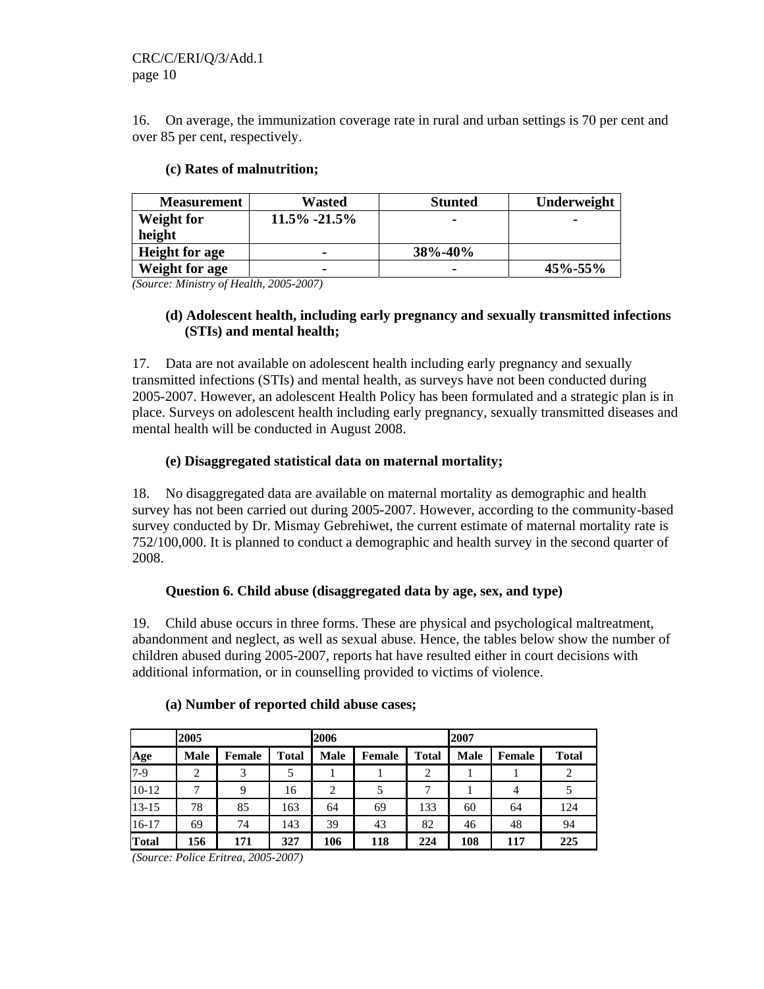16. On average, the immunization coverage rate in rural and urban settings is 70 per cent and over 85 per cent, respectively.

| <b>Measurement</b>    | Wasted           | <b>Stunted</b> | Underweight |
|-----------------------|------------------|----------------|-------------|
| Weight for            | $11.5\% -21.5\%$ | -              |             |
| height                |                  |                |             |
| <b>Height for age</b> | -                | 38%-40%        |             |
| Weight for age        | -                | -              | 45%-55%     |

### **(c) Rates of malnutrition;**

*(Source: Ministry of Health, 2005-2007)* 

### **(d) Adolescent health, including early pregnancy and sexually transmitted infections (STIs) and mental health;**

17. Data are not available on adolescent health including early pregnancy and sexually transmitted infections (STIs) and mental health, as surveys have not been conducted during 2005-2007. However, an adolescent Health Policy has been formulated and a strategic plan is in place. Surveys on adolescent health including early pregnancy, sexually transmitted diseases and mental health will be conducted in August 2008.

### **(e) Disaggregated statistical data on maternal mortality;**

18. No disaggregated data are available on maternal mortality as demographic and health survey has not been carried out during 2005-2007. However, according to the community-based survey conducted by Dr. Mismay Gebrehiwet, the current estimate of maternal mortality rate is 752/100,000. It is planned to conduct a demographic and health survey in the second quarter of 2008.

### **Question 6. Child abuse (disaggregated data by age, sex, and type)**

19. Child abuse occurs in three forms. These are physical and psychological maltreatment, abandonment and neglect, as well as sexual abuse. Hence, the tables below show the number of children abused during 2005-2007, reports hat have resulted either in court decisions with additional information, or in counselling provided to victims of violence.

|           | 2005        |        |              | 2006           |        |              | 2007        |        |              |
|-----------|-------------|--------|--------------|----------------|--------|--------------|-------------|--------|--------------|
| Age       | <b>Male</b> | Female | <b>Total</b> | <b>Male</b>    | Female | <b>Total</b> | <b>Male</b> | Female | <b>Total</b> |
| $7-9$     | 2           | 3      | 5            |                |        | 2            |             |        | 2            |
| $10-12$   | ⇁           | 9      | 16           | $\overline{c}$ | 5      | 7            |             | 4      | 5            |
| $13 - 15$ | 78          | 85     | 163          | 64             | 69     | 133          | 60          | 64     | 124          |
| $16-17$   | 69          | 74     | 143          | 39             | 43     | 82           | 46          | 48     | 94           |
| Total     | 156         | 171    | 327          | 106            | 118    | 224          | 108         | 117    | 225          |

#### **(a) Number of reported child abuse cases;**

*(Source: Police Eritrea, 2005-2007)*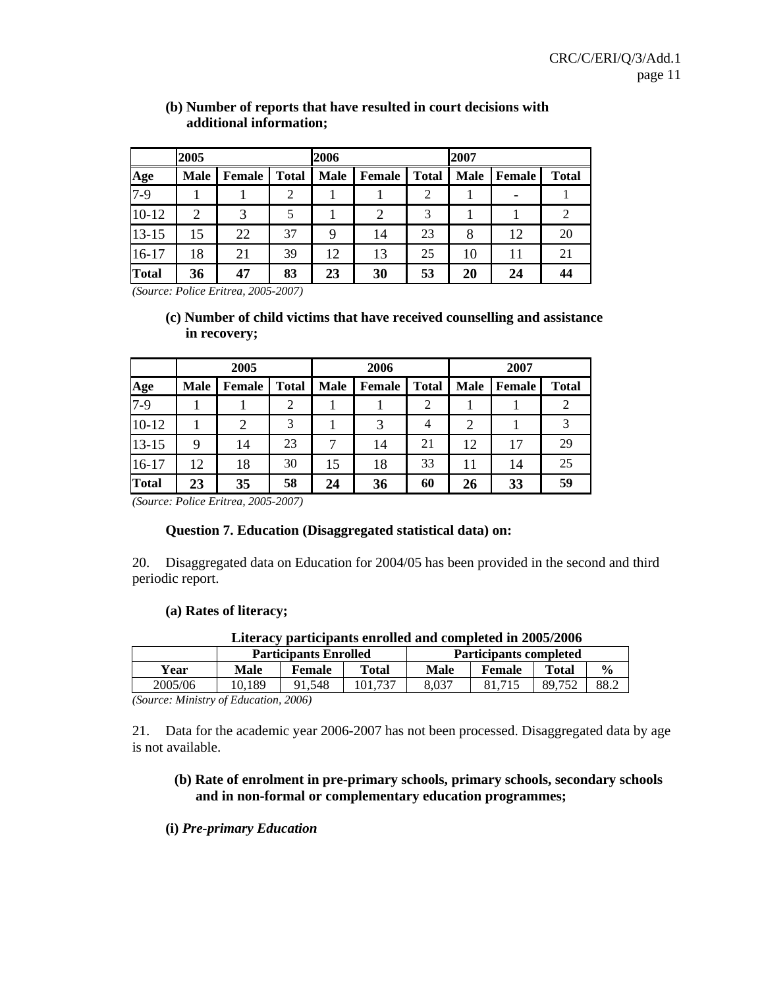|              | 2005        |               |              |             | 2006          |                |             | 2007          |              |  |
|--------------|-------------|---------------|--------------|-------------|---------------|----------------|-------------|---------------|--------------|--|
| Age          | <b>Male</b> | <b>Female</b> | <b>Total</b> | <b>Male</b> | <b>Female</b> | <b>Total</b>   | <b>Male</b> | <b>Female</b> | <b>Total</b> |  |
| $7-9$        |             |               | 2            |             |               | $\overline{2}$ |             |               |              |  |
| $10 - 12$    | 2           | 3             | 5            |             | 2             | 3              |             |               |              |  |
| $13 - 15$    | 15          | 22            | 37           | 9           | 14            | 23             | 8           | 12            | 20           |  |
| $16 - 17$    | 18          | 21            | 39           | 12          | 13            | 25             | 10          | 11            | 21           |  |
| <b>Total</b> | 36          | 47            | 83           | 23          | 30            | 53             | 20          | 24            | 44           |  |

### **(b) Number of reports that have resulted in court decisions with additional information;**

*(Source: Police Eritrea, 2005-2007)* 

### **(c) Number of child victims that have received counselling and assistance in recovery;**

|              | 2005        |               |              | 2006        |               |              | 2007        |          |              |
|--------------|-------------|---------------|--------------|-------------|---------------|--------------|-------------|----------|--------------|
| Age          | <b>Male</b> | <b>Female</b> | <b>Total</b> | <b>Male</b> | <b>Female</b> | <b>Total</b> | <b>Male</b> | l Female | <b>Total</b> |
| $7-9$        |             |               | 2            |             |               | 2            |             |          |              |
| $10 - 12$    |             | 2             | 3            |             | 3             | 4            | 2           |          | 3            |
| $13 - 15$    | 9           | 14            | 23           |             | 14            | 21           | 12          | 17       | 29           |
| $16-17$      | 12          | 18            | 30           | 15          | 18            | 33           | 11          | 14       | 25           |
| <b>Total</b> | 23          | 35            | 58           | 24          | 36            | 60           | 26          | 33       | 59           |

*(Source: Police Eritrea, 2005-2007)* 

### **Question 7. Education (Disaggregated statistical data) on:**

20. Disaggregated data on Education for 2004/05 has been provided in the second and third periodic report.

#### **(a) Rates of literacy;**

| Literacy participants enrolled and completed in 2005/2006 |  |
|-----------------------------------------------------------|--|
|-----------------------------------------------------------|--|

|         |             | <b>Participants Enrolled</b>                  |       | <b>Participants completed</b><br><b>Total</b><br><b>Male</b><br>Female<br>8.037<br>89.<br>.752 |  |  |               |
|---------|-------------|-----------------------------------------------|-------|------------------------------------------------------------------------------------------------|--|--|---------------|
| Year    | <b>Male</b> | Female                                        | Total |                                                                                                |  |  | $\frac{6}{9}$ |
| 2005/06 | 0.189       | 91.548                                        |       |                                                                                                |  |  | 88.2          |
| $\sim$  |             | $\mathbf{a} \mathbf{a} \mathbf{a} \mathbf{b}$ |       |                                                                                                |  |  |               |

*(Source: Ministry of Education, 2006)* 

21. Data for the academic year 2006-2007 has not been processed. Disaggregated data by age is not available.

### **(b) Rate of enrolment in pre-primary schools, primary schools, secondary schools and in non-formal or complementary education programmes;**

#### **(i)** *Pre-primary Education*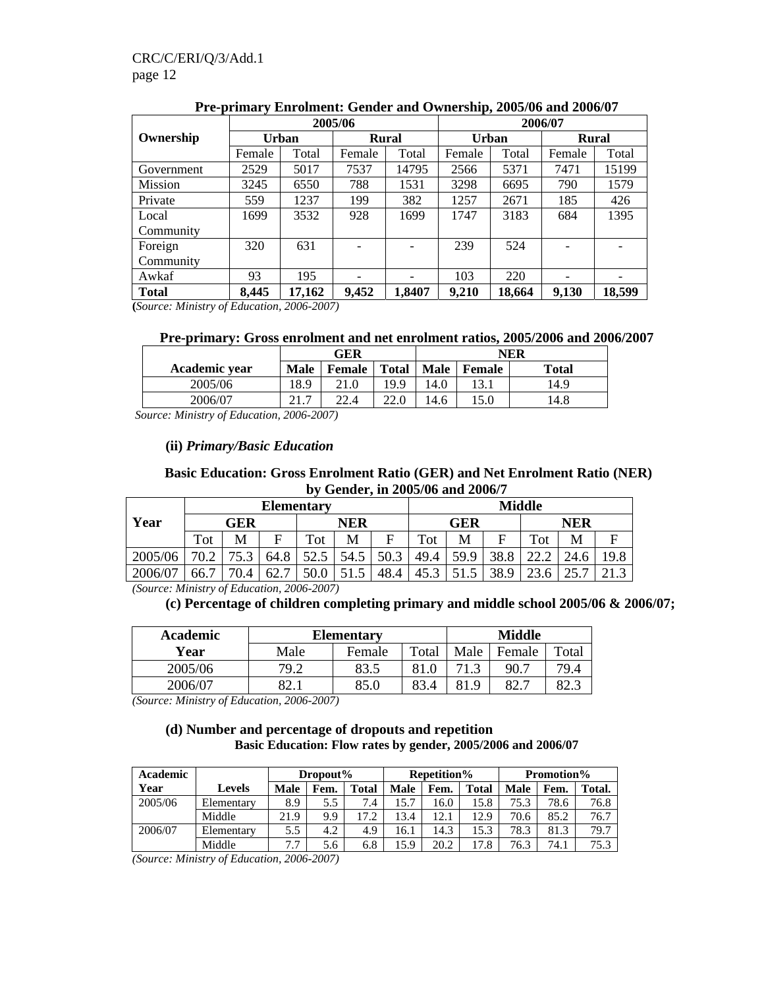|                |        |        | 2005/06 |              | 2006/07 |        |              |        |
|----------------|--------|--------|---------|--------------|---------|--------|--------------|--------|
| Ownership      | Urban  |        |         | <b>Rural</b> | Urban   |        | <b>Rural</b> |        |
|                | Female | Total  | Female  | Total        | Female  | Total  | Female       | Total  |
| Government     | 2529   | 5017   | 7537    | 14795        | 2566    | 5371   | 7471         | 15199  |
| <b>Mission</b> | 3245   | 6550   | 788     | 1531         | 3298    | 6695   | 790          | 1579   |
| Private        | 559    | 1237   | 199     | 382          | 1257    | 2671   | 185          | 426    |
| Local          | 1699   | 3532   | 928     | 1699         | 1747    | 3183   | 684          | 1395   |
| Community      |        |        |         |              |         |        |              |        |
| Foreign        | 320    | 631    |         |              | 239     | 524    |              |        |
| Community      |        |        |         |              |         |        |              |        |
| Awkaf          | 93     | 195    |         |              | 103     | 220    |              |        |
| <b>Total</b>   | 8,445  | 17,162 | 9,452   | 1,8407       | 9,210   | 18,664 | 9,130        | 18,599 |

**Pre-primary Enrolment: Gender and Ownership, 2005/06 and 2006/07** 

**(***Source: Ministry of Education, 2006-2007)* 

|  | Pre-primary: Gross enrolment and net enrolment ratios, 2005/2006 and 2006/2007 |
|--|--------------------------------------------------------------------------------|
|  |                                                                                |

|               |             | GER           |              | NER         |        |              |  |
|---------------|-------------|---------------|--------------|-------------|--------|--------------|--|
| Academic vear | <b>Male</b> | <b>Female</b> | <b>Total</b> | <b>Male</b> | Female | <b>Total</b> |  |
| 2005/06       | 18.9        | 21.0          | 19.9         | l4.0        | 13.1   | 14.9         |  |
| 2006/07       | າ 1         | 22.4          | 22.0         | 4.6         | l 5.0  | 14.8         |  |

 *Source: Ministry of Education, 2006-2007)* 

#### **(ii)** *Primary/Basic Education*

#### **Basic Education: Gross Enrolment Ratio (GER) and Net Enrolment Ratio (NER) by Gender, in 2005/06 and 2006/7**

|         |      | <b>Elementary</b> |      |      |            |      |      |            |      | <b>Middle</b> |            |      |  |
|---------|------|-------------------|------|------|------------|------|------|------------|------|---------------|------------|------|--|
| Year    | GER  |                   |      |      | <b>NER</b> |      |      | <b>GER</b> |      |               | <b>NER</b> |      |  |
|         | Tot  | M                 | F    | Tot  | M          |      | Tot  | M          | F    | Tot           | M          | F    |  |
| 2005/06 | 70 2 | 75.               | 64.8 | 52.5 | 54.5       | 50.3 | 49.4 | 59.9       | 38.8 | ററ            |            | 19.8 |  |
| 2006/07 | 66.  | 70.4              | 62.  | 50.0 | ن. د ت     | 48.4 | 45.  |            | 38.9 | $\cap$        | . ل.       |      |  |

*(Source: Ministry of Education, 2006-2007)* 

### **(c) Percentage of children completing primary and middle school 2005/06 & 2006/07;**

| Academic |      | <b>Elementary</b> |       | <b>Middle</b> |             |             |  |
|----------|------|-------------------|-------|---------------|-------------|-------------|--|
| Year     | Male | Female            | Total |               | Female      | Total       |  |
| 2005/06  | 79.2 | 83.5              | 81    |               | 90.7        | 79.4        |  |
| 2006/07  | റി   | 85.0              | 83.4  | Q<br>81.'     | റെ<br>. ، ک | റെ ാ<br>ن ک |  |

*(Source: Ministry of Education, 2006-2007)* 

#### **(d) Number and percentage of dropouts and repetition Basic Education: Flow rates by gender, 2005/2006 and 2006/07**

| Academic |            |      | Dropout% |              |      | <b>Repetition%</b> |       | <b>Promotion%</b> |      |        |  |
|----------|------------|------|----------|--------------|------|--------------------|-------|-------------------|------|--------|--|
| Year     | Levels     | Male | Fem.     | <b>Total</b> | Male | Fem.               | Total | Male              | Fem. | Total. |  |
| 2005/06  | Elementary | 8.9  | 5.5      | 7.4          | 15.7 | 6.0                | 15.8  | 75.3              | 78.6 | 76.8   |  |
|          | Middle     | 21.9 | 9.9      | 17.2         | 13.4 | 12.1               | 12.9  | 70.6              | 85.2 | 76.7   |  |
| 2006/07  | Elementary | 5.5  | 4.2      | 4.9          | 16.1 | 14.3               | 15.3  | 78.3              | 81.3 | 79.7   |  |
|          | Middle     | ⇁    | 5.6      | 6.8          | 15.9 | 20.2               | 17.8  | 76.3              | 74.1 | 75.3   |  |

*(Source: Ministry of Education, 2006-2007)*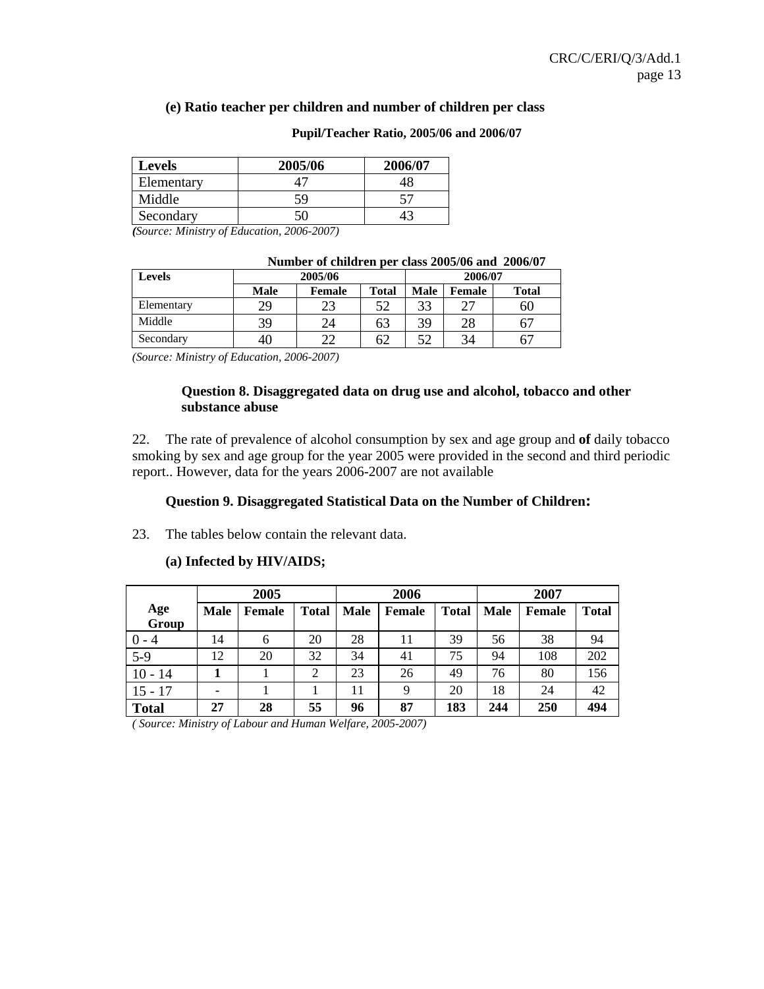#### **(e) Ratio teacher per children and number of children per class**

| Levels     | 2005/06 | 2006/07 |
|------------|---------|---------|
| Elementary |         |         |
| Middle     | 59      |         |
| Secondary  |         |         |

#### **Pupil/Teacher Ratio, 2005/06 and 2006/07**

*(Source: Ministry of Education, 2006-2007)* 

| <b>Levels</b> |      | 2005/06       |             |        | 2006/07      |    |
|---------------|------|---------------|-------------|--------|--------------|----|
|               | Male | <b>Female</b> | <b>Male</b> | Female | <b>Total</b> |    |
| Elementary    | 29   | 23            | 52          | 33     | $2^{\prime}$ | 60 |
| Middle        | 39   | 24            | 63          | 39     | 28           | 6  |
| Secondary     | 4U   | າາ            | 62          | 52     | 34           | 61 |

#### **Number of children per class 2005/06 and 2006/07**

*(Source: Ministry of Education, 2006-2007)* 

#### **Question 8. Disaggregated data on drug use and alcohol, tobacco and other substance abuse**

22. The rate of prevalence of alcohol consumption by sex and age group and **of** daily tobacco smoking by sex and age group for the year 2005 were provided in the second and third periodic report.. However, data for the years 2006-2007 are not available

#### **Question 9. Disaggregated Statistical Data on the Number of Children:**

23. The tables below contain the relevant data.

#### **(a) Infected by HIV/AIDS;**

|              |             | 2005          |              |             | 2006          |              | 2007        |        |              |  |
|--------------|-------------|---------------|--------------|-------------|---------------|--------------|-------------|--------|--------------|--|
| Age<br>Group | <b>Male</b> | <b>Female</b> | <b>Total</b> | <b>Male</b> | <b>Female</b> | <b>Total</b> | <b>Male</b> | Female | <b>Total</b> |  |
| $0 - 4$      | 14          | 6             | 20           | 28          | 11            | 39           | 56          | 38     | 94           |  |
| $5-9$        | 12          | 20            | 32           | 34          | 41            | 75           | 94          | 108    | 202          |  |
| $10 - 14$    |             |               | 2            | 23          | 26            | 49           | 76          | 80     | 156          |  |
| $15 - 17$    |             |               |              | 11          | 9             | 20           | 18          | 24     | 42           |  |
| <b>Total</b> | 27          | 28            | 55           | 96          | 87            | 183          | 244         | 250    | 494          |  |

*( Source: Ministry of Labour and Human Welfare, 2005-2007)*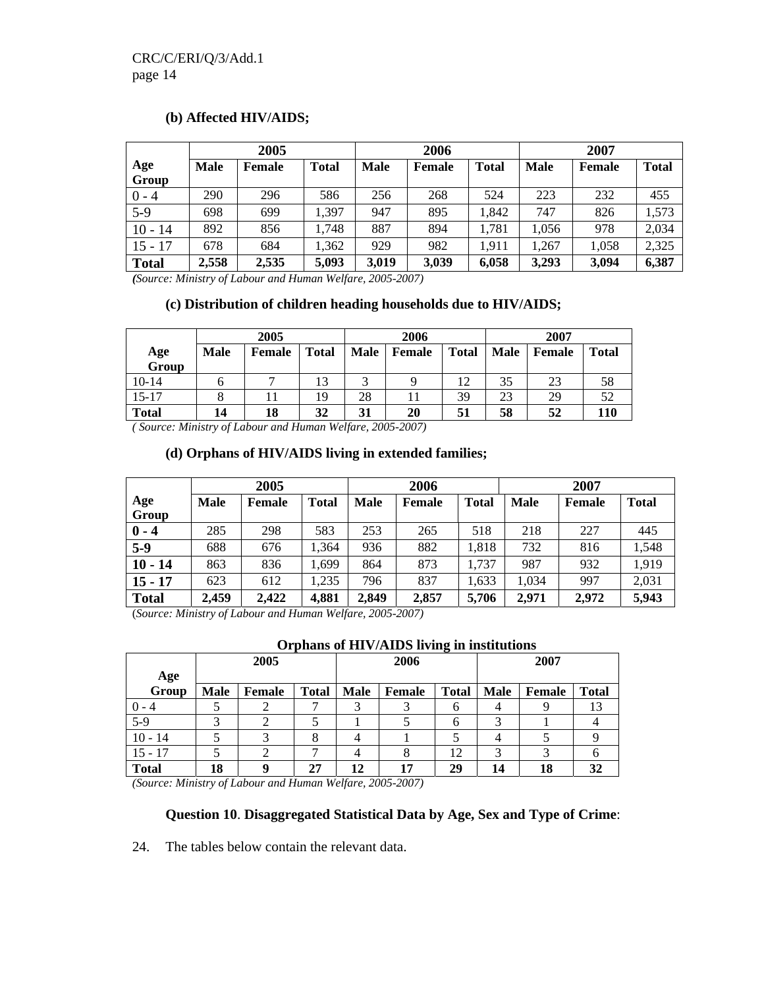### **(b) Affected HIV/AIDS;**

|              |             | 2005          |              |             | 2006          |              | 2007        |               |              |  |
|--------------|-------------|---------------|--------------|-------------|---------------|--------------|-------------|---------------|--------------|--|
| Age<br>Group | <b>Male</b> | <b>Female</b> | <b>Total</b> | <b>Male</b> | <b>Female</b> | <b>Total</b> | <b>Male</b> | <b>Female</b> | <b>Total</b> |  |
| $0 - 4$      | 290         | 296           | 586          | 256         | 268           | 524          | 223         | 232           | 455          |  |
| $5-9$        | 698         | 699           | 1.397        | 947         | 895           | 1,842        | 747         | 826           | 1,573        |  |
|              |             |               |              |             |               |              |             |               |              |  |
| $10 - 14$    | 892         | 856           | 1,748        | 887         | 894           | 1,781        | 1,056       | 978           | 2,034        |  |
| $15 - 17$    | 678         | 684           | 1,362        | 929         | 982           | 1,911        | 1.267       | 1,058         | 2,325        |  |
| <b>Total</b> | 2,558       | 2,535         | 5,093        | 3,019       | 3,039         | 6,058        | 3,293       | 3,094         | 6,387        |  |

*(Source: Ministry of Labour and Human Welfare, 2005-2007)* 

#### **(c) Distribution of children heading households due to HIV/AIDS;**

|              |             | 2005          |              |    | 2006        |              | 2007 |             |              |  |
|--------------|-------------|---------------|--------------|----|-------------|--------------|------|-------------|--------------|--|
| Age<br>Group | <b>Male</b> | <b>Female</b> | <b>Total</b> |    | Male Female | <b>Total</b> |      | Male Female | <b>Total</b> |  |
| $10-14$      |             |               | 13           |    |             | 12           | 35   | 23          | 58           |  |
| $15 - 17$    |             |               | 19           | 28 |             | 39           | 23   | 29          | 52           |  |
| <b>Total</b> | 14          | 18            | 32           | 31 | 20          | 51           | 58   | 52          | <b>110</b>   |  |

*( Source: Ministry of Labour and Human Welfare, 2005-2007)* 

#### **(d) Orphans of HIV/AIDS living in extended families;**

|              |             | 2005   |              |             | 2006   |              | 2007        |               |              |  |
|--------------|-------------|--------|--------------|-------------|--------|--------------|-------------|---------------|--------------|--|
| Age<br>Group | <b>Male</b> | Female | <b>Total</b> | <b>Male</b> | Female | <b>Total</b> | <b>Male</b> | <b>Female</b> | <b>Total</b> |  |
| $0 - 4$      | 285         | 298    | 583          | 253         | 265    | 518          | 218         | 227           | 445          |  |
| $5-9$        | 688         | 676    | 1,364        | 936         | 882    | 1,818        | 732         | 816           | 1,548        |  |
| $10 - 14$    | 863         | 836    | 1,699        | 864         | 873    | 1,737        | 987         | 932           | 1,919        |  |
| $15 - 17$    | 623         | 612    | 1,235        | 796         | 837    | 1,633        | 1,034       | 997           | 2,031        |  |
| <b>Total</b> | 2,459       | 2,422  | 4,881        | 2,849       | 2,857  | 5,706        | 2,971       | 2,972         | 5,943        |  |

(*Source: Ministry of Labour and Human Welfare, 2005-2007)* 

#### **Orphans of HIV/AIDS living in institutions**

|              |             | 2005          |              |             | 2006   |              |             | 2007   |              |  |  |
|--------------|-------------|---------------|--------------|-------------|--------|--------------|-------------|--------|--------------|--|--|
| Age          |             |               |              |             |        |              |             |        |              |  |  |
| Group        | <b>Male</b> | <b>Female</b> | <b>Total</b> | <b>Male</b> | Female | <b>Total</b> | <b>Male</b> | Female | <b>Total</b> |  |  |
| $0 - 4$      |             |               |              |             |        | O            |             |        | 13           |  |  |
| $5-9$        |             |               |              |             |        | O            |             |        |              |  |  |
| $10 - 14$    |             |               | ◠            |             |        |              | 4           |        |              |  |  |
| $15 - 17$    |             |               |              |             |        | 12           |             |        |              |  |  |
| <b>Total</b> | 18          |               | 27           | 12          | 17     | 29           | 14          | 18     | 32           |  |  |

*(Source: Ministry of Labour and Human Welfare, 2005-2007)* 

### **Question 10**. **Disaggregated Statistical Data by Age, Sex and Type of Crime**:

24. The tables below contain the relevant data.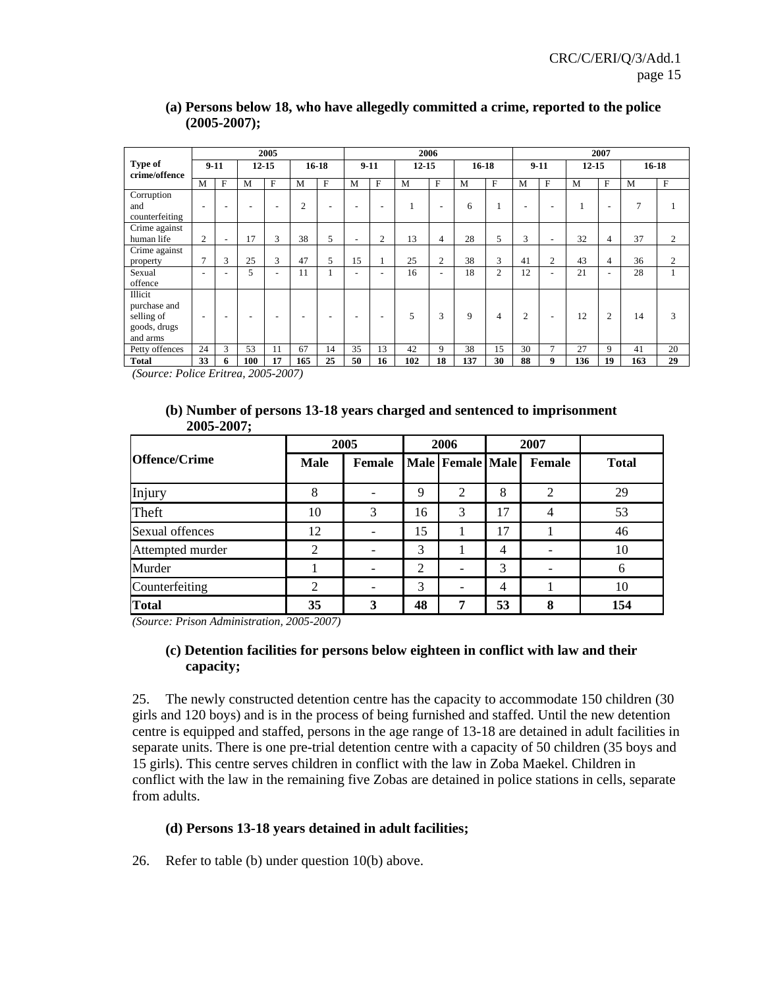|                          | 2005                     |                          |           |                          |           | 2006        |                          |                          |           |                          | 2007    |                |                |                          |           |                          |           |                |
|--------------------------|--------------------------|--------------------------|-----------|--------------------------|-----------|-------------|--------------------------|--------------------------|-----------|--------------------------|---------|----------------|----------------|--------------------------|-----------|--------------------------|-----------|----------------|
| Type of<br>crime/offence | $9-11$                   |                          | $12 - 15$ |                          | $16 - 18$ |             | $9-11$                   |                          | $12 - 15$ |                          | $16-18$ |                | $9-11$         |                          | $12 - 15$ |                          | $16 - 18$ |                |
|                          | M                        | F                        | M         | F                        | M         | $\mathbf F$ | M                        | F                        | M         | $_{\rm F}$               | M       | $_{\rm F}$     | M              | F                        | M         | $_{\rm F}$               | M         | $\mathbf F$    |
| Corruption               |                          |                          |           |                          |           |             |                          |                          |           |                          |         |                |                |                          |           |                          |           |                |
| and                      | $\overline{\phantom{a}}$ |                          |           | $\overline{\phantom{a}}$ | 2         |             |                          | -                        |           | $\overline{\phantom{a}}$ | 6       |                |                | $\overline{\phantom{a}}$ |           | $\overline{\phantom{a}}$ | 7         |                |
| counterfeiting           |                          |                          |           |                          |           |             |                          |                          |           |                          |         |                |                |                          |           |                          |           |                |
| Crime against            |                          |                          |           |                          |           |             |                          |                          |           |                          |         |                |                |                          |           |                          |           |                |
| human life               | 2                        | $\overline{\phantom{a}}$ | 17        | 3                        | 38        | 5           | $\overline{\phantom{a}}$ | $\overline{2}$           | 13        | 4                        | 28      | 5              | 3              | $\overline{\phantom{a}}$ | 32        | 4                        | 37        | $\mathbf{2}$   |
| Crime against            |                          |                          |           |                          |           |             |                          |                          |           |                          |         |                |                |                          |           |                          |           |                |
| property                 | $\mathcal{I}$            | 3                        | 25        | 3                        | 47        | 5           | 15                       |                          | 25        | $\overline{2}$           | 38      | 3              | 41             | $\overline{c}$           | 43        | 4                        | 36        | $\overline{2}$ |
| Sexual                   | $\overline{\phantom{a}}$ |                          | 5         | $\overline{\phantom{a}}$ | 11        |             |                          | $\overline{\phantom{a}}$ | 16        | $\overline{\phantom{0}}$ | 18      | $\overline{c}$ | 12             | $\overline{\phantom{a}}$ | 21        | $\overline{\phantom{a}}$ | 28        |                |
| offence                  |                          |                          |           |                          |           |             |                          |                          |           |                          |         |                |                |                          |           |                          |           |                |
| Illicit                  |                          |                          |           |                          |           |             |                          |                          |           |                          |         |                |                |                          |           |                          |           |                |
| purchase and             |                          |                          |           |                          |           |             |                          |                          |           |                          |         |                |                |                          |           |                          |           |                |
| selling of               | $\overline{\phantom{a}}$ |                          |           | $\overline{\phantom{a}}$ |           |             |                          | $\overline{\phantom{a}}$ | 5         | 3                        | 9       | 4              | $\overline{2}$ | $\overline{\phantom{a}}$ | 12        | $\overline{c}$           | 14        | 3              |
| goods, drugs             |                          |                          |           |                          |           |             |                          |                          |           |                          |         |                |                |                          |           |                          |           |                |
| and arms                 |                          |                          |           |                          |           |             |                          |                          |           |                          |         |                |                |                          |           |                          |           |                |
| Petty offences           | 24                       | 3                        | 53        | 11                       | 67        | 14          | 35                       | 13                       | 42        | 9                        | 38      | 15             | 30             | 7                        | 27        | 9                        | 41        | 20             |
| <b>Total</b>             | 33                       | 6                        | 100       | 17                       | 165       | 25          | 50                       | 16                       | 102       | 18                       | 137     | 30             | 88             | 9                        | 136       | 19                       | 163       | 29             |

### **(a) Persons below 18, who have allegedly committed a crime, reported to the police (2005-2007);**

*(Source: Police Eritrea, 2005-2007)* 

#### **(b) Number of persons 13-18 years charged and sentenced to imprisonment 2005-2007;**

|                      | 2005        |        | 2006 |                          | 2007 |        |              |
|----------------------|-------------|--------|------|--------------------------|------|--------|--------------|
| <b>Offence/Crime</b> | <b>Male</b> | Female |      | Male Female Male         |      | Female | <b>Total</b> |
| Injury               | 8           | -      | 9    | 2                        | 8    | 2      | 29           |
| Theft                | 10          | 3      | 16   | 3                        | 17   | 4      | 53           |
| Sexual offences      | 12          |        | 15   |                          | 17   |        | 46           |
| Attempted murder     | 2           |        | 3    |                          | 4    |        | 10           |
| Murder               |             |        | 2    | $\overline{\phantom{a}}$ | 3    |        | 6            |
| Counterfeiting       | 2           |        | 3    | $\overline{\phantom{a}}$ | 4    |        | 10           |
| <b>Total</b>         | 35          | 3      | 48   | 7                        | 53   | 8      | 154          |

*(Source: Prison Administration, 2005-2007)* 

### **(c) Detention facilities for persons below eighteen in conflict with law and their capacity;**

25. The newly constructed detention centre has the capacity to accommodate 150 children (30 girls and 120 boys) and is in the process of being furnished and staffed. Until the new detention centre is equipped and staffed, persons in the age range of 13-18 are detained in adult facilities in separate units. There is one pre-trial detention centre with a capacity of 50 children (35 boys and 15 girls). This centre serves children in conflict with the law in Zoba Maekel. Children in conflict with the law in the remaining five Zobas are detained in police stations in cells, separate from adults.

### **(d) Persons 13-18 years detained in adult facilities;**

26. Refer to table (b) under question 10(b) above.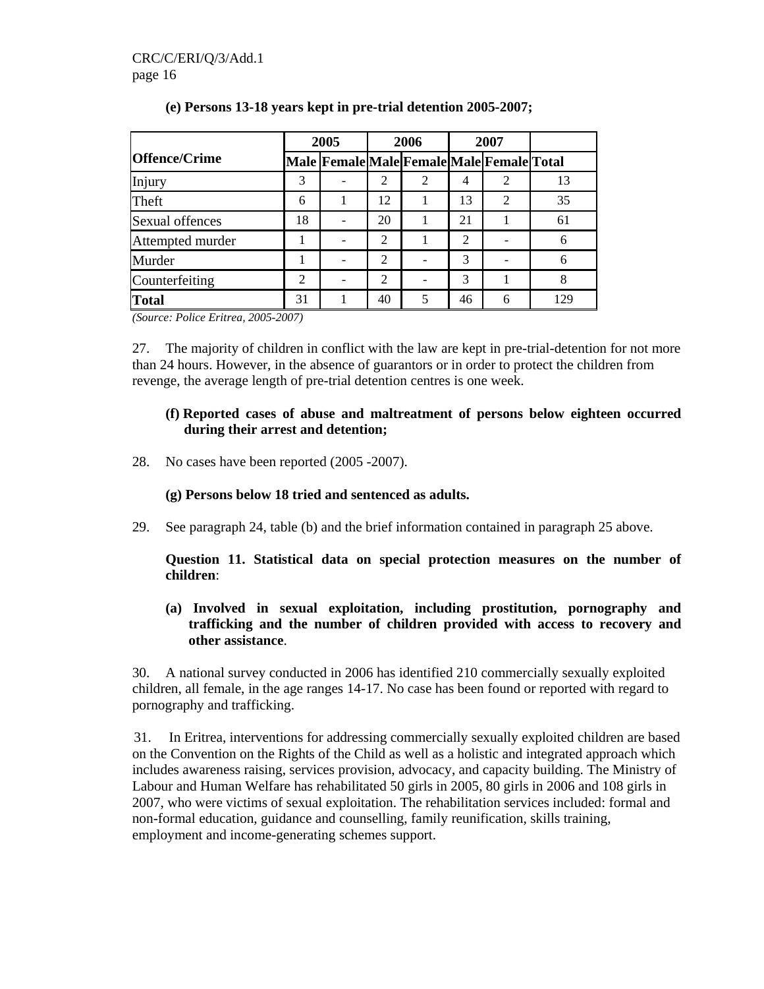|                      |                | 2005                                      |    | 2006 |    | 2007           |     |
|----------------------|----------------|-------------------------------------------|----|------|----|----------------|-----|
| <b>Offence/Crime</b> |                | Male Female Male Female Male Female Total |    |      |    |                |     |
| Injury               | 3              |                                           |    | 2    | 4  | 2              | 13  |
| Theft                | 6              |                                           | 12 |      | 13 | $\overline{2}$ | 35  |
| Sexual offences      | 18             |                                           | 20 |      | 21 |                | 61  |
| Attempted murder     |                |                                           | 2  |      | 2  |                | 6   |
| Murder               |                |                                           | 2  |      | 3  |                | 6   |
| Counterfeiting       | $\mathfrak{D}$ |                                           | 2  |      | 3  |                | 8   |
| Total                | 31             |                                           | 40 | 5    | 46 | 6              | 129 |

### **(e) Persons 13-18 years kept in pre-trial detention 2005-2007;**

*(Source: Police Eritrea, 2005-2007)* 

27. The majority of children in conflict with the law are kept in pre-trial-detention for not more than 24 hours. However, in the absence of guarantors or in order to protect the children from revenge, the average length of pre-trial detention centres is one week.

### **(f) Reported cases of abuse and maltreatment of persons below eighteen occurred during their arrest and detention;**

28. No cases have been reported (2005 -2007).

### **(g) Persons below 18 tried and sentenced as adults.**

29. See paragraph 24, table (b) and the brief information contained in paragraph 25 above.

**Question 11. Statistical data on special protection measures on the number of children**:

**(a) Involved in sexual exploitation, including prostitution, pornography and trafficking and the number of children provided with access to recovery and other assistance**.

30. A national survey conducted in 2006 has identified 210 commercially sexually exploited children, all female, in the age ranges 14-17. No case has been found or reported with regard to pornography and trafficking.

31. In Eritrea, interventions for addressing commercially sexually exploited children are based on the Convention on the Rights of the Child as well as a holistic and integrated approach which includes awareness raising, services provision, advocacy, and capacity building. The Ministry of Labour and Human Welfare has rehabilitated 50 girls in 2005, 80 girls in 2006 and 108 girls in 2007, who were victims of sexual exploitation. The rehabilitation services included: formal and non-formal education, guidance and counselling, family reunification, skills training, employment and income-generating schemes support.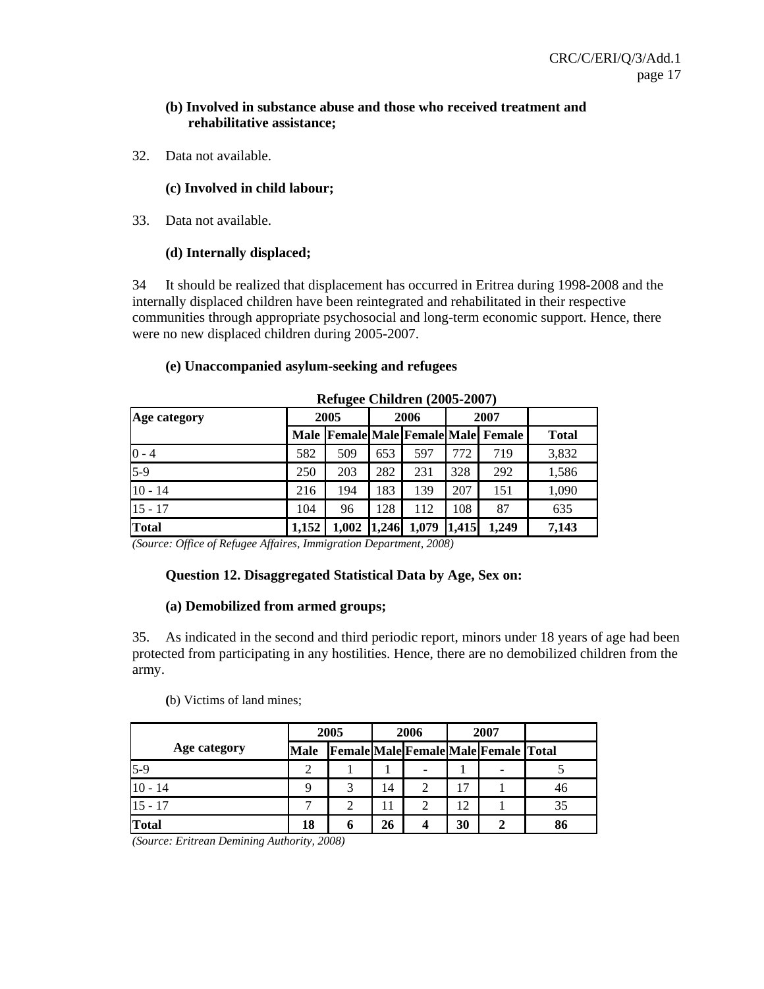### **(b) Involved in substance abuse and those who received treatment and rehabilitative assistance;**

32. Data not available.

### **(c) Involved in child labour;**

33. Data not available.

### **(d) Internally displaced;**

34 It should be realized that displacement has occurred in Eritrea during 1998-2008 and the internally displaced children have been reintegrated and rehabilitated in their respective communities through appropriate psychosocial and long-term economic support. Hence, there were no new displaced children during 2005-2007.

# **Refugee Children (2005-2007) Age category 2005 2006 2007 Male Female Male Female Male Female Total**  0 - 4 582 509 653 597 772 719 3,832 5-9 250 203 282 231 328 292 1,586 10 - 14 216 194 183 139 207 151 1,090 15 - 17 104 | 96 | 128 | 112 | 108 | 87 | 635

## **(e) Unaccompanied asylum-seeking and refugees**

*(Source: Office of Refugee Affaires, Immigration Department, 2008)* 

#### **Question 12. Disaggregated Statistical Data by Age, Sex on:**

**Total 1,152 1,002 1,246 1,079 1,415 1,249 7,143** 

#### **(a) Demobilized from armed groups;**

35. As indicated in the second and third periodic report, minors under 18 years of age had been protected from participating in any hostilities. Hence, there are no demobilized children from the army.

#### **(**b) Victims of land mines;

|              |             | 2005 |    | 2006 |    | 2007                                        |    |
|--------------|-------------|------|----|------|----|---------------------------------------------|----|
| Age category | <b>Male</b> |      |    |      |    | <b>Female Male Female Male Female Total</b> |    |
| $5-9$        | ി           |      |    |      |    | -                                           |    |
| $10 - 14$    |             |      | 14 |      | 17 |                                             | 46 |
| $15 - 17$    | −           |      |    |      | 12 |                                             | 35 |
| <b>Total</b> | 18          |      | 26 |      | 30 |                                             | 86 |

*(Source: Eritrean Demining Authority, 2008)*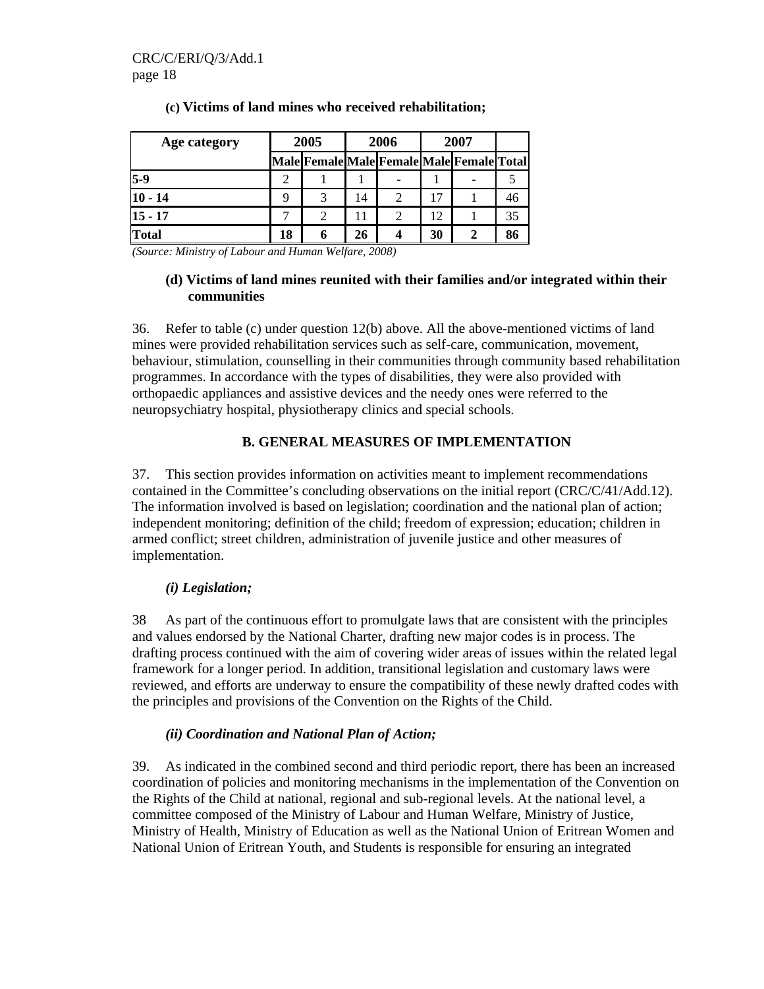| Age category |    | 2005 |    | 2006                                      | 2007 |   |    |
|--------------|----|------|----|-------------------------------------------|------|---|----|
|              |    |      |    | Male Female Male Female Male Female Total |      |   |    |
| $15-9$       | 2  |      |    |                                           |      |   |    |
| $10 - 14$    |    | 3    | 14 | $\overline{c}$                            |      |   | 46 |
| $15 - 17$    |    | 2    |    | 2                                         | 12   |   | 35 |
| Total        | 18 | 6    | 26 |                                           | 30   | 2 | 86 |

### **(c) Victims of land mines who received rehabilitation;**

*(Source: Ministry of Labour and Human Welfare, 2008)* 

### **(d) Victims of land mines reunited with their families and/or integrated within their communities**

36. Refer to table (c) under question 12(b) above. All the above-mentioned victims of land mines were provided rehabilitation services such as self-care, communication, movement, behaviour, stimulation, counselling in their communities through community based rehabilitation programmes. In accordance with the types of disabilities, they were also provided with orthopaedic appliances and assistive devices and the needy ones were referred to the neuropsychiatry hospital, physiotherapy clinics and special schools.

### **B. GENERAL MEASURES OF IMPLEMENTATION**

37. This section provides information on activities meant to implement recommendations contained in the Committee's concluding observations on the initial report (CRC/C/41/Add.12). The information involved is based on legislation; coordination and the national plan of action; independent monitoring; definition of the child; freedom of expression; education; children in armed conflict; street children, administration of juvenile justice and other measures of implementation.

### *(i) Legislation;*

38 As part of the continuous effort to promulgate laws that are consistent with the principles and values endorsed by the National Charter, drafting new major codes is in process. The drafting process continued with the aim of covering wider areas of issues within the related legal framework for a longer period. In addition, transitional legislation and customary laws were reviewed, and efforts are underway to ensure the compatibility of these newly drafted codes with the principles and provisions of the Convention on the Rights of the Child.

### *(ii) Coordination and National Plan of Action;*

39. As indicated in the combined second and third periodic report, there has been an increased coordination of policies and monitoring mechanisms in the implementation of the Convention on the Rights of the Child at national, regional and sub-regional levels. At the national level, a committee composed of the Ministry of Labour and Human Welfare, Ministry of Justice, Ministry of Health, Ministry of Education as well as the National Union of Eritrean Women and National Union of Eritrean Youth, and Students is responsible for ensuring an integrated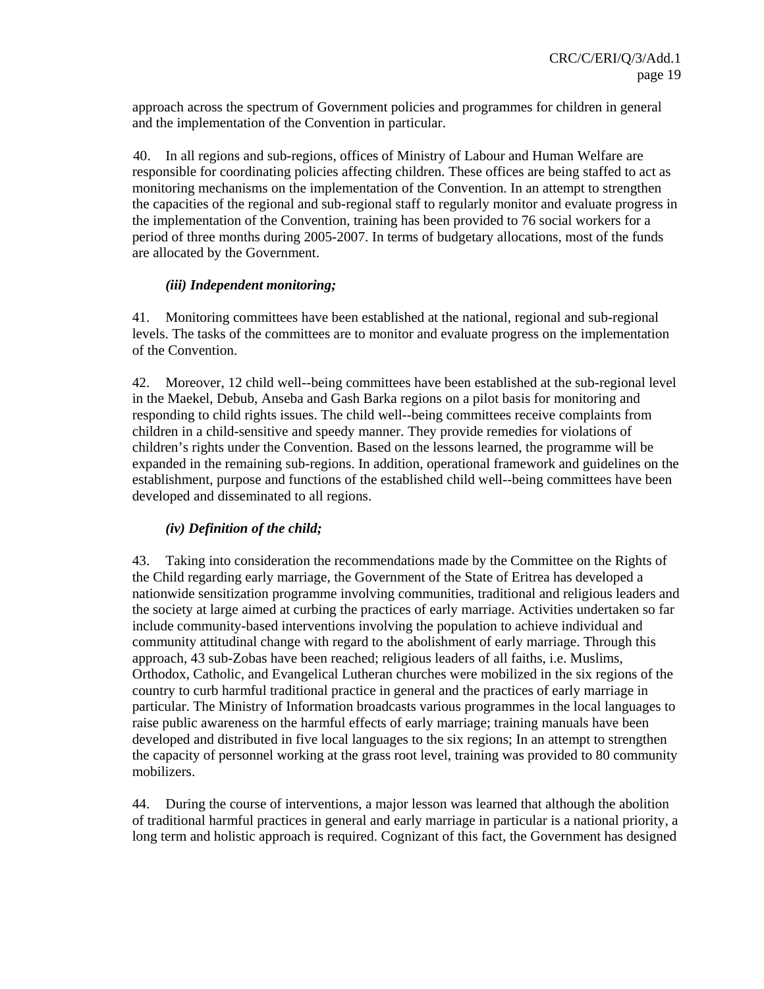approach across the spectrum of Government policies and programmes for children in general and the implementation of the Convention in particular.

40. In all regions and sub-regions, offices of Ministry of Labour and Human Welfare are responsible for coordinating policies affecting children. These offices are being staffed to act as monitoring mechanisms on the implementation of the Convention. In an attempt to strengthen the capacities of the regional and sub-regional staff to regularly monitor and evaluate progress in the implementation of the Convention, training has been provided to 76 social workers for a period of three months during 2005-2007. In terms of budgetary allocations, most of the funds are allocated by the Government.

### *(iii) Independent monitoring;*

41. Monitoring committees have been established at the national, regional and sub-regional levels. The tasks of the committees are to monitor and evaluate progress on the implementation of the Convention.

42. Moreover, 12 child well--being committees have been established at the sub-regional level in the Maekel, Debub, Anseba and Gash Barka regions on a pilot basis for monitoring and responding to child rights issues. The child well--being committees receive complaints from children in a child-sensitive and speedy manner. They provide remedies for violations of children's rights under the Convention. Based on the lessons learned, the programme will be expanded in the remaining sub-regions. In addition, operational framework and guidelines on the establishment, purpose and functions of the established child well--being committees have been developed and disseminated to all regions.

### *(iv) Definition of the child;*

43. Taking into consideration the recommendations made by the Committee on the Rights of the Child regarding early marriage, the Government of the State of Eritrea has developed a nationwide sensitization programme involving communities, traditional and religious leaders and the society at large aimed at curbing the practices of early marriage. Activities undertaken so far include community-based interventions involving the population to achieve individual and community attitudinal change with regard to the abolishment of early marriage. Through this approach, 43 sub-Zobas have been reached; religious leaders of all faiths, i.e. Muslims, Orthodox, Catholic, and Evangelical Lutheran churches were mobilized in the six regions of the country to curb harmful traditional practice in general and the practices of early marriage in particular. The Ministry of Information broadcasts various programmes in the local languages to raise public awareness on the harmful effects of early marriage; training manuals have been developed and distributed in five local languages to the six regions; In an attempt to strengthen the capacity of personnel working at the grass root level, training was provided to 80 community mobilizers.

44. During the course of interventions, a major lesson was learned that although the abolition of traditional harmful practices in general and early marriage in particular is a national priority, a long term and holistic approach is required. Cognizant of this fact, the Government has designed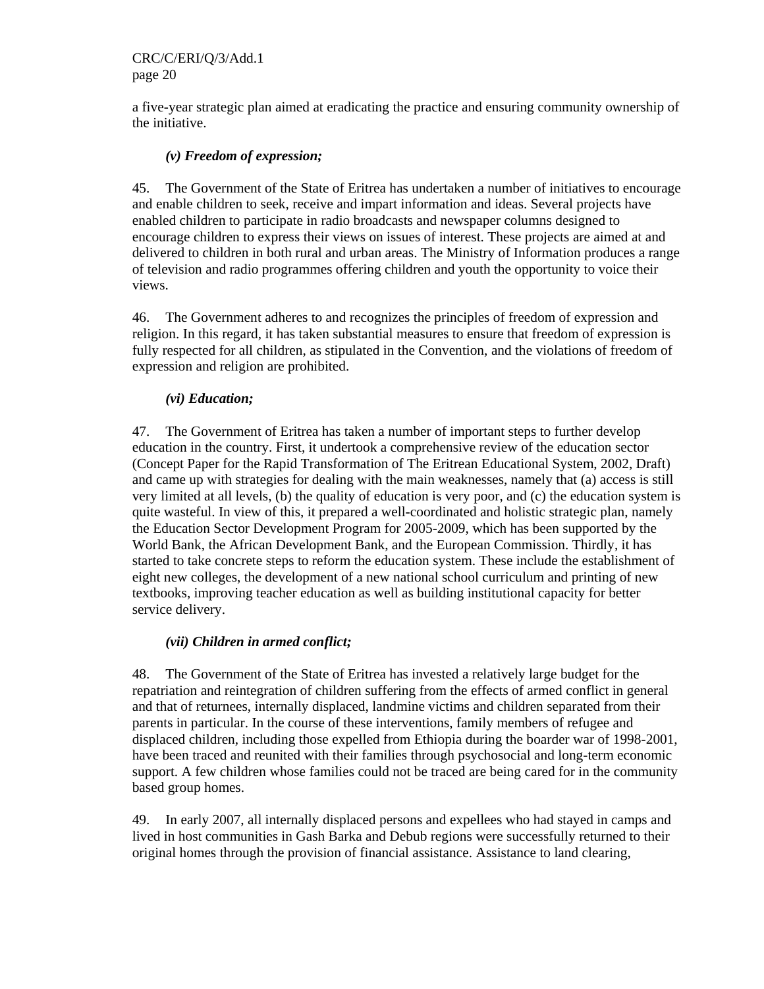CRC/C/ERI/Q/3/Add.1 page 20

a five-year strategic plan aimed at eradicating the practice and ensuring community ownership of the initiative.

### *(v) Freedom of expression;*

45. The Government of the State of Eritrea has undertaken a number of initiatives to encourage and enable children to seek, receive and impart information and ideas. Several projects have enabled children to participate in radio broadcasts and newspaper columns designed to encourage children to express their views on issues of interest. These projects are aimed at and delivered to children in both rural and urban areas. The Ministry of Information produces a range of television and radio programmes offering children and youth the opportunity to voice their views.

46. The Government adheres to and recognizes the principles of freedom of expression and religion. In this regard, it has taken substantial measures to ensure that freedom of expression is fully respected for all children, as stipulated in the Convention, and the violations of freedom of expression and religion are prohibited.

### *(vi) Education;*

47. The Government of Eritrea has taken a number of important steps to further develop education in the country. First, it undertook a comprehensive review of the education sector (Concept Paper for the Rapid Transformation of The Eritrean Educational System, 2002, Draft) and came up with strategies for dealing with the main weaknesses, namely that (a) access is still very limited at all levels, (b) the quality of education is very poor, and (c) the education system is quite wasteful. In view of this, it prepared a well-coordinated and holistic strategic plan, namely the Education Sector Development Program for 2005-2009, which has been supported by the World Bank, the African Development Bank, and the European Commission. Thirdly, it has started to take concrete steps to reform the education system. These include the establishment of eight new colleges, the development of a new national school curriculum and printing of new textbooks, improving teacher education as well as building institutional capacity for better service delivery.

#### *(vii) Children in armed conflict;*

48. The Government of the State of Eritrea has invested a relatively large budget for the repatriation and reintegration of children suffering from the effects of armed conflict in general and that of returnees, internally displaced, landmine victims and children separated from their parents in particular. In the course of these interventions, family members of refugee and displaced children, including those expelled from Ethiopia during the boarder war of 1998-2001, have been traced and reunited with their families through psychosocial and long-term economic support. A few children whose families could not be traced are being cared for in the community based group homes.

49. In early 2007, all internally displaced persons and expellees who had stayed in camps and lived in host communities in Gash Barka and Debub regions were successfully returned to their original homes through the provision of financial assistance. Assistance to land clearing,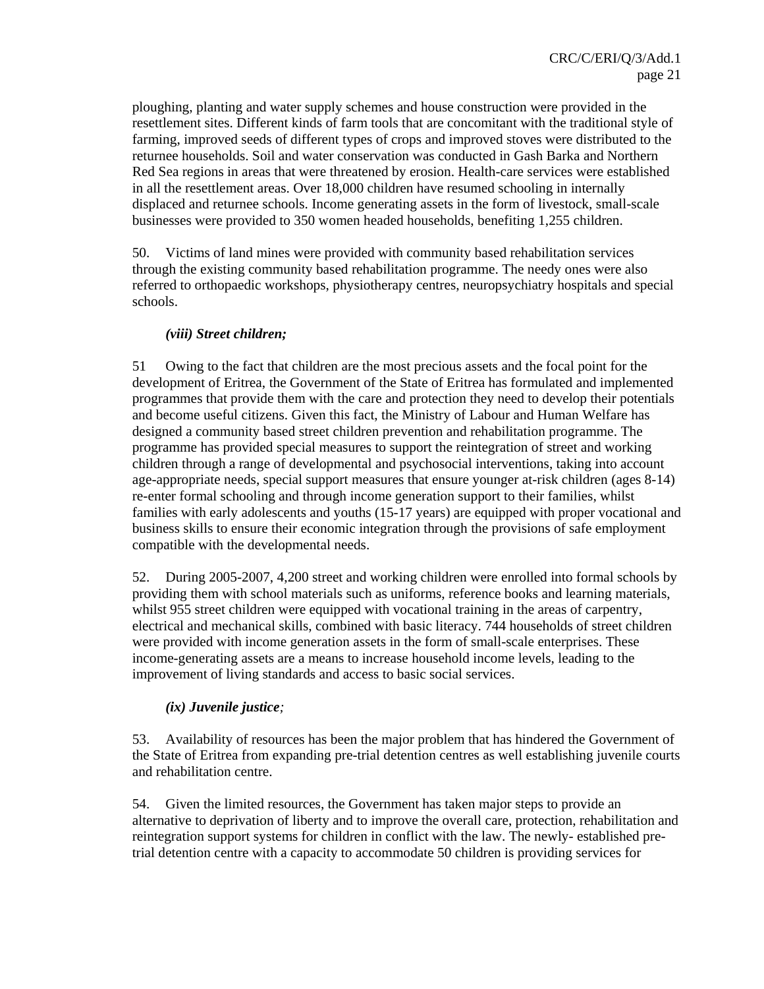ploughing, planting and water supply schemes and house construction were provided in the resettlement sites. Different kinds of farm tools that are concomitant with the traditional style of farming, improved seeds of different types of crops and improved stoves were distributed to the returnee households. Soil and water conservation was conducted in Gash Barka and Northern Red Sea regions in areas that were threatened by erosion. Health-care services were established in all the resettlement areas. Over 18,000 children have resumed schooling in internally displaced and returnee schools. Income generating assets in the form of livestock, small-scale businesses were provided to 350 women headed households, benefiting 1,255 children.

50. Victims of land mines were provided with community based rehabilitation services through the existing community based rehabilitation programme. The needy ones were also referred to orthopaedic workshops, physiotherapy centres, neuropsychiatry hospitals and special schools.

### *(viii) Street children;*

51 Owing to the fact that children are the most precious assets and the focal point for the development of Eritrea, the Government of the State of Eritrea has formulated and implemented programmes that provide them with the care and protection they need to develop their potentials and become useful citizens. Given this fact, the Ministry of Labour and Human Welfare has designed a community based street children prevention and rehabilitation programme. The programme has provided special measures to support the reintegration of street and working children through a range of developmental and psychosocial interventions, taking into account age-appropriate needs, special support measures that ensure younger at-risk children (ages 8-14) re-enter formal schooling and through income generation support to their families, whilst families with early adolescents and youths (15-17 years) are equipped with proper vocational and business skills to ensure their economic integration through the provisions of safe employment compatible with the developmental needs.

52. During 2005-2007, 4,200 street and working children were enrolled into formal schools by providing them with school materials such as uniforms, reference books and learning materials, whilst 955 street children were equipped with vocational training in the areas of carpentry, electrical and mechanical skills, combined with basic literacy. 744 households of street children were provided with income generation assets in the form of small-scale enterprises. These income-generating assets are a means to increase household income levels, leading to the improvement of living standards and access to basic social services.

### *(ix) Juvenile justice;*

53. Availability of resources has been the major problem that has hindered the Government of the State of Eritrea from expanding pre-trial detention centres as well establishing juvenile courts and rehabilitation centre.

54. Given the limited resources, the Government has taken major steps to provide an alternative to deprivation of liberty and to improve the overall care, protection, rehabilitation and reintegration support systems for children in conflict with the law. The newly- established pretrial detention centre with a capacity to accommodate 50 children is providing services for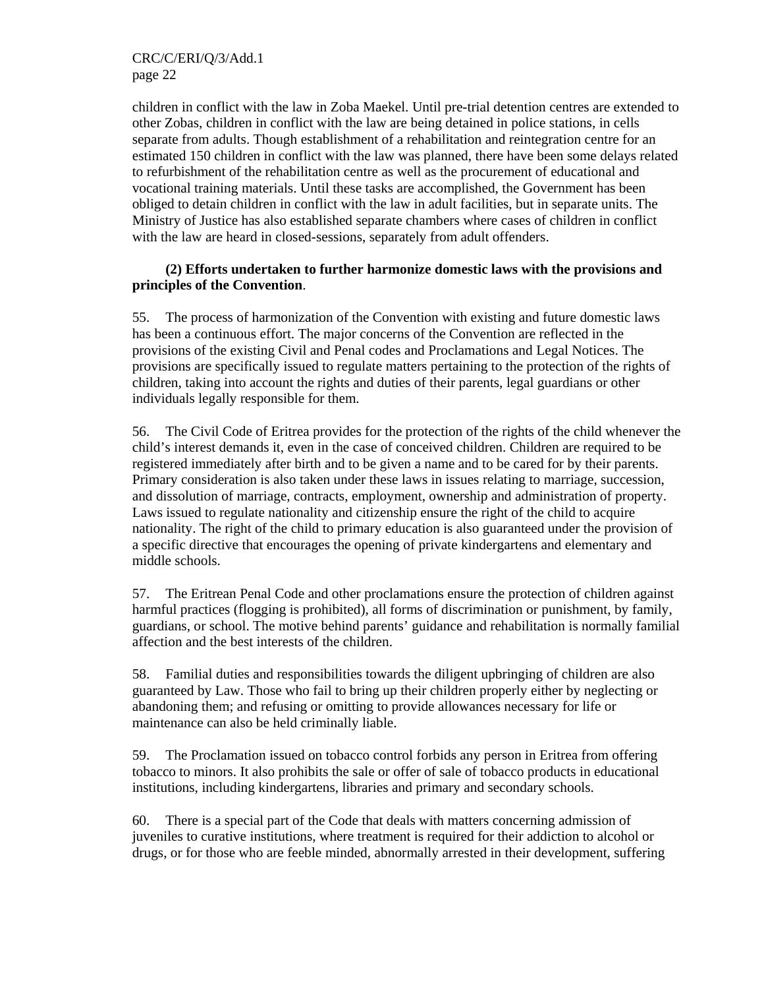CRC/C/ERI/Q/3/Add.1 page 22

children in conflict with the law in Zoba Maekel. Until pre-trial detention centres are extended to other Zobas, children in conflict with the law are being detained in police stations, in cells separate from adults. Though establishment of a rehabilitation and reintegration centre for an estimated 150 children in conflict with the law was planned, there have been some delays related to refurbishment of the rehabilitation centre as well as the procurement of educational and vocational training materials. Until these tasks are accomplished, the Government has been obliged to detain children in conflict with the law in adult facilities, but in separate units. The Ministry of Justice has also established separate chambers where cases of children in conflict with the law are heard in closed-sessions, separately from adult offenders.

### **(2) Efforts undertaken to further harmonize domestic laws with the provisions and principles of the Convention**.

55. The process of harmonization of the Convention with existing and future domestic laws has been a continuous effort. The major concerns of the Convention are reflected in the provisions of the existing Civil and Penal codes and Proclamations and Legal Notices. The provisions are specifically issued to regulate matters pertaining to the protection of the rights of children, taking into account the rights and duties of their parents, legal guardians or other individuals legally responsible for them.

56. The Civil Code of Eritrea provides for the protection of the rights of the child whenever the child's interest demands it, even in the case of conceived children. Children are required to be registered immediately after birth and to be given a name and to be cared for by their parents. Primary consideration is also taken under these laws in issues relating to marriage, succession, and dissolution of marriage, contracts, employment, ownership and administration of property. Laws issued to regulate nationality and citizenship ensure the right of the child to acquire nationality. The right of the child to primary education is also guaranteed under the provision of a specific directive that encourages the opening of private kindergartens and elementary and middle schools.

57. The Eritrean Penal Code and other proclamations ensure the protection of children against harmful practices (flogging is prohibited), all forms of discrimination or punishment, by family, guardians, or school. The motive behind parents' guidance and rehabilitation is normally familial affection and the best interests of the children.

58. Familial duties and responsibilities towards the diligent upbringing of children are also guaranteed by Law. Those who fail to bring up their children properly either by neglecting or abandoning them; and refusing or omitting to provide allowances necessary for life or maintenance can also be held criminally liable.

59. The Proclamation issued on tobacco control forbids any person in Eritrea from offering tobacco to minors. It also prohibits the sale or offer of sale of tobacco products in educational institutions, including kindergartens, libraries and primary and secondary schools.

60. There is a special part of the Code that deals with matters concerning admission of juveniles to curative institutions, where treatment is required for their addiction to alcohol or drugs, or for those who are feeble minded, abnormally arrested in their development, suffering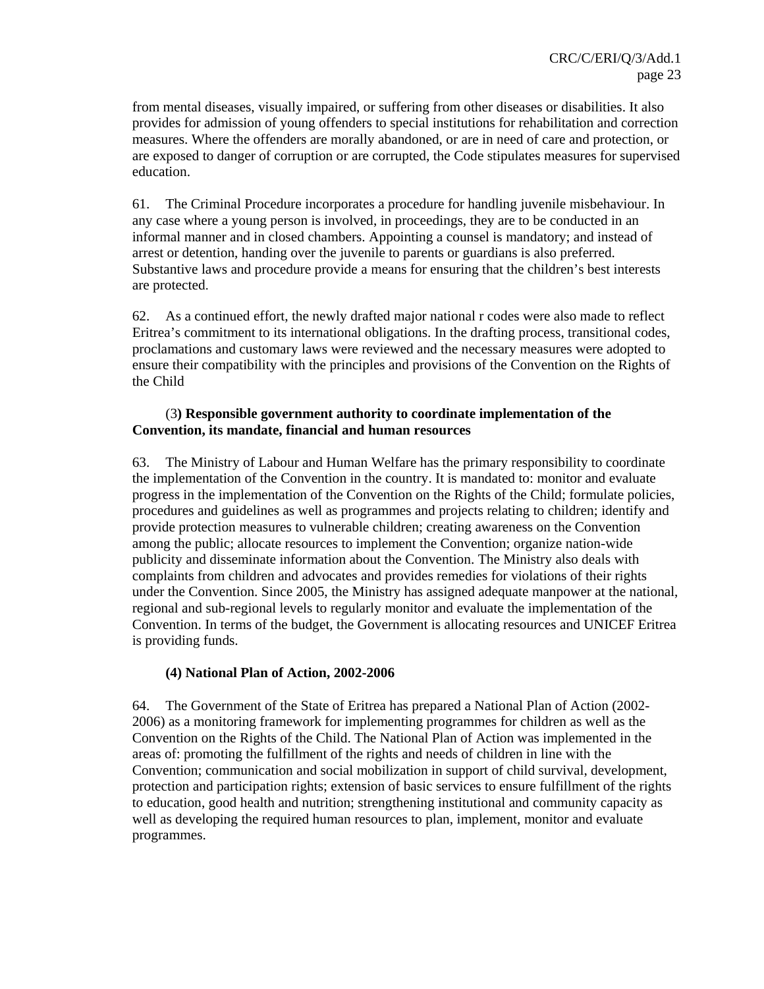from mental diseases, visually impaired, or suffering from other diseases or disabilities. It also provides for admission of young offenders to special institutions for rehabilitation and correction measures. Where the offenders are morally abandoned, or are in need of care and protection, or are exposed to danger of corruption or are corrupted, the Code stipulates measures for supervised education.

61. The Criminal Procedure incorporates a procedure for handling juvenile misbehaviour. In any case where a young person is involved, in proceedings, they are to be conducted in an informal manner and in closed chambers. Appointing a counsel is mandatory; and instead of arrest or detention, handing over the juvenile to parents or guardians is also preferred. Substantive laws and procedure provide a means for ensuring that the children's best interests are protected.

62. As a continued effort, the newly drafted major national r codes were also made to reflect Eritrea's commitment to its international obligations. In the drafting process, transitional codes, proclamations and customary laws were reviewed and the necessary measures were adopted to ensure their compatibility with the principles and provisions of the Convention on the Rights of the Child

### (3**) Responsible government authority to coordinate implementation of the Convention, its mandate, financial and human resources**

63. The Ministry of Labour and Human Welfare has the primary responsibility to coordinate the implementation of the Convention in the country. It is mandated to: monitor and evaluate progress in the implementation of the Convention on the Rights of the Child; formulate policies, procedures and guidelines as well as programmes and projects relating to children; identify and provide protection measures to vulnerable children; creating awareness on the Convention among the public; allocate resources to implement the Convention; organize nation-wide publicity and disseminate information about the Convention. The Ministry also deals with complaints from children and advocates and provides remedies for violations of their rights under the Convention. Since 2005, the Ministry has assigned adequate manpower at the national, regional and sub-regional levels to regularly monitor and evaluate the implementation of the Convention. In terms of the budget, the Government is allocating resources and UNICEF Eritrea is providing funds.

### **(4) National Plan of Action, 2002-2006**

64. The Government of the State of Eritrea has prepared a National Plan of Action (2002- 2006) as a monitoring framework for implementing programmes for children as well as the Convention on the Rights of the Child. The National Plan of Action was implemented in the areas of: promoting the fulfillment of the rights and needs of children in line with the Convention; communication and social mobilization in support of child survival, development, protection and participation rights; extension of basic services to ensure fulfillment of the rights to education, good health and nutrition; strengthening institutional and community capacity as well as developing the required human resources to plan, implement, monitor and evaluate programmes.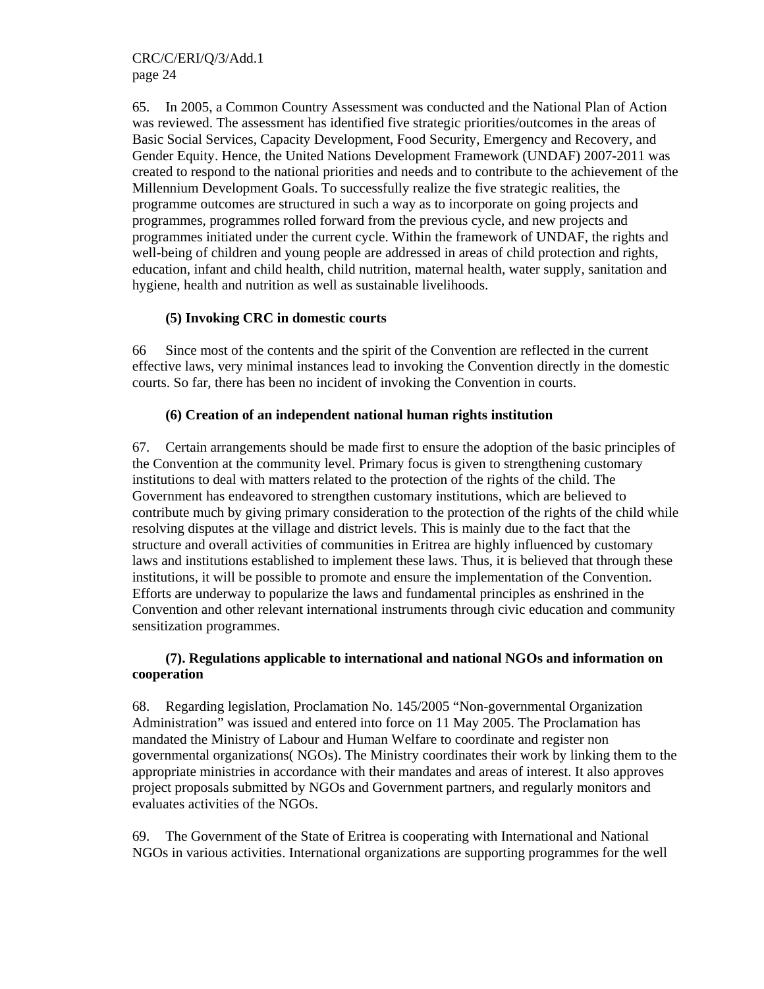65. In 2005, a Common Country Assessment was conducted and the National Plan of Action was reviewed. The assessment has identified five strategic priorities/outcomes in the areas of Basic Social Services, Capacity Development, Food Security, Emergency and Recovery, and Gender Equity. Hence, the United Nations Development Framework (UNDAF) 2007-2011 was created to respond to the national priorities and needs and to contribute to the achievement of the Millennium Development Goals. To successfully realize the five strategic realities, the programme outcomes are structured in such a way as to incorporate on going projects and programmes, programmes rolled forward from the previous cycle, and new projects and programmes initiated under the current cycle. Within the framework of UNDAF, the rights and well-being of children and young people are addressed in areas of child protection and rights, education, infant and child health, child nutrition, maternal health, water supply, sanitation and hygiene, health and nutrition as well as sustainable livelihoods.

### **(5) Invoking CRC in domestic courts**

66 Since most of the contents and the spirit of the Convention are reflected in the current effective laws, very minimal instances lead to invoking the Convention directly in the domestic courts. So far, there has been no incident of invoking the Convention in courts.

### **(6) Creation of an independent national human rights institution**

67. Certain arrangements should be made first to ensure the adoption of the basic principles of the Convention at the community level. Primary focus is given to strengthening customary institutions to deal with matters related to the protection of the rights of the child. The Government has endeavored to strengthen customary institutions, which are believed to contribute much by giving primary consideration to the protection of the rights of the child while resolving disputes at the village and district levels. This is mainly due to the fact that the structure and overall activities of communities in Eritrea are highly influenced by customary laws and institutions established to implement these laws. Thus, it is believed that through these institutions, it will be possible to promote and ensure the implementation of the Convention. Efforts are underway to popularize the laws and fundamental principles as enshrined in the Convention and other relevant international instruments through civic education and community sensitization programmes.

### **(7). Regulations applicable to international and national NGOs and information on cooperation**

68. Regarding legislation, Proclamation No. 145/2005 "Non-governmental Organization Administration" was issued and entered into force on 11 May 2005. The Proclamation has mandated the Ministry of Labour and Human Welfare to coordinate and register non governmental organizations( NGOs). The Ministry coordinates their work by linking them to the appropriate ministries in accordance with their mandates and areas of interest. It also approves project proposals submitted by NGOs and Government partners, and regularly monitors and evaluates activities of the NGOs.

69. The Government of the State of Eritrea is cooperating with International and National NGOs in various activities. International organizations are supporting programmes for the well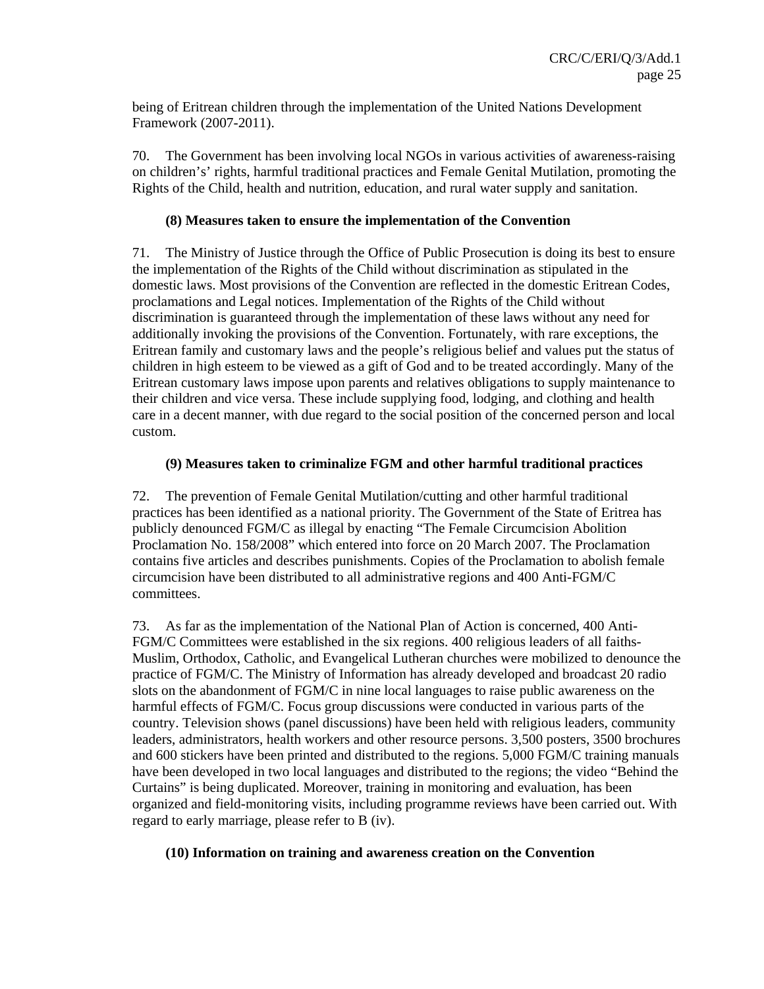being of Eritrean children through the implementation of the United Nations Development Framework (2007-2011).

70. The Government has been involving local NGOs in various activities of awareness-raising on children's' rights, harmful traditional practices and Female Genital Mutilation, promoting the Rights of the Child, health and nutrition, education, and rural water supply and sanitation.

#### **(8) Measures taken to ensure the implementation of the Convention**

71. The Ministry of Justice through the Office of Public Prosecution is doing its best to ensure the implementation of the Rights of the Child without discrimination as stipulated in the domestic laws. Most provisions of the Convention are reflected in the domestic Eritrean Codes, proclamations and Legal notices. Implementation of the Rights of the Child without discrimination is guaranteed through the implementation of these laws without any need for additionally invoking the provisions of the Convention. Fortunately, with rare exceptions, the Eritrean family and customary laws and the people's religious belief and values put the status of children in high esteem to be viewed as a gift of God and to be treated accordingly. Many of the Eritrean customary laws impose upon parents and relatives obligations to supply maintenance to their children and vice versa. These include supplying food, lodging, and clothing and health care in a decent manner, with due regard to the social position of the concerned person and local custom.

### **(9) Measures taken to criminalize FGM and other harmful traditional practices**

72. The prevention of Female Genital Mutilation/cutting and other harmful traditional practices has been identified as a national priority. The Government of the State of Eritrea has publicly denounced FGM/C as illegal by enacting "The Female Circumcision Abolition Proclamation No. 158/2008" which entered into force on 20 March 2007. The Proclamation contains five articles and describes punishments. Copies of the Proclamation to abolish female circumcision have been distributed to all administrative regions and 400 Anti-FGM/C committees.

73. As far as the implementation of the National Plan of Action is concerned, 400 Anti-FGM/C Committees were established in the six regions. 400 religious leaders of all faiths-Muslim, Orthodox, Catholic, and Evangelical Lutheran churches were mobilized to denounce the practice of FGM/C. The Ministry of Information has already developed and broadcast 20 radio slots on the abandonment of FGM/C in nine local languages to raise public awareness on the harmful effects of FGM/C. Focus group discussions were conducted in various parts of the country. Television shows (panel discussions) have been held with religious leaders, community leaders, administrators, health workers and other resource persons. 3,500 posters, 3500 brochures and 600 stickers have been printed and distributed to the regions. 5,000 FGM/C training manuals have been developed in two local languages and distributed to the regions; the video "Behind the Curtains" is being duplicated. Moreover, training in monitoring and evaluation, has been organized and field-monitoring visits, including programme reviews have been carried out. With regard to early marriage, please refer to B (iv).

#### **(10) Information on training and awareness creation on the Convention**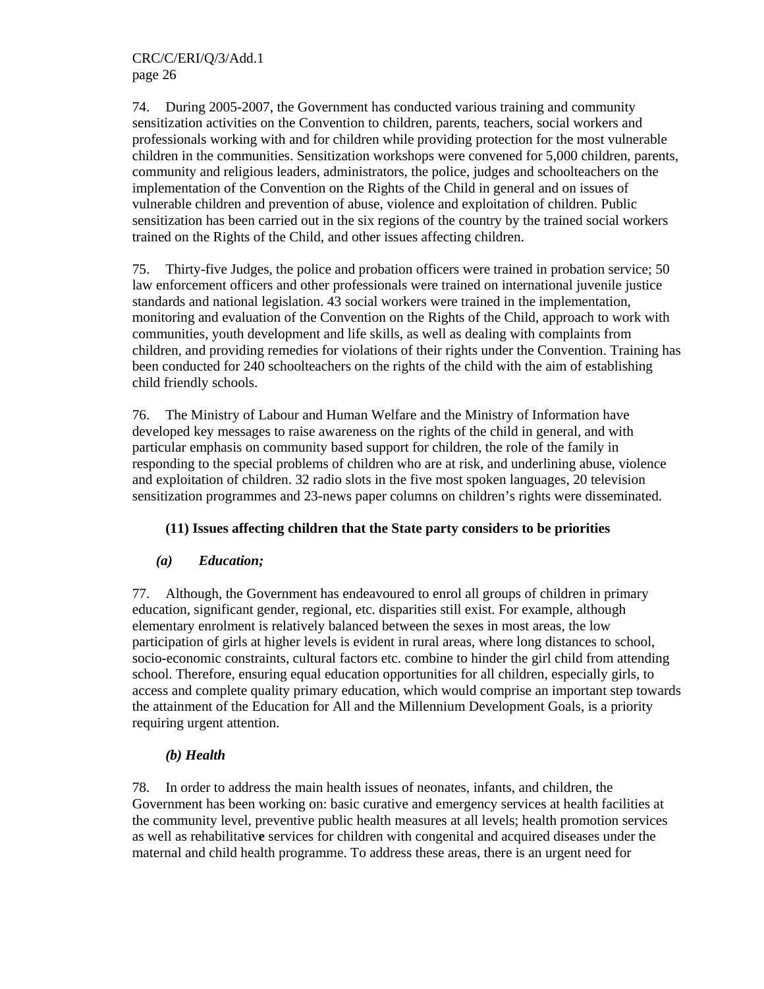74. During 2005-2007, the Government has conducted various training and community sensitization activities on the Convention to children, parents, teachers, social workers and professionals working with and for children while providing protection for the most vulnerable children in the communities. Sensitization workshops were convened for 5,000 children, parents, community and religious leaders, administrators, the police, judges and schoolteachers on the implementation of the Convention on the Rights of the Child in general and on issues of vulnerable children and prevention of abuse, violence and exploitation of children. Public sensitization has been carried out in the six regions of the country by the trained social workers trained on the Rights of the Child, and other issues affecting children.

75. Thirty-five Judges, the police and probation officers were trained in probation service; 50 law enforcement officers and other professionals were trained on international juvenile justice standards and national legislation. 43 social workers were trained in the implementation, monitoring and evaluation of the Convention on the Rights of the Child, approach to work with communities, youth development and life skills, as well as dealing with complaints from children, and providing remedies for violations of their rights under the Convention. Training has been conducted for 240 schoolteachers on the rights of the child with the aim of establishing child friendly schools.

76. The Ministry of Labour and Human Welfare and the Ministry of Information have developed key messages to raise awareness on the rights of the child in general, and with particular emphasis on community based support for children, the role of the family in responding to the special problems of children who are at risk, and underlining abuse, violence and exploitation of children. 32 radio slots in the five most spoken languages, 20 television sensitization programmes and 23-news paper columns on children's rights were disseminated.

### **(11) Issues affecting children that the State party considers to be priorities**

### *(a) Education;*

77. Although, the Government has endeavoured to enrol all groups of children in primary education, significant gender, regional, etc. disparities still exist. For example, although elementary enrolment is relatively balanced between the sexes in most areas, the low participation of girls at higher levels is evident in rural areas, where long distances to school, socio-economic constraints, cultural factors etc. combine to hinder the girl child from attending school. Therefore, ensuring equal education opportunities for all children, especially girls, to access and complete quality primary education, which would comprise an important step towards the attainment of the Education for All and the Millennium Development Goals, is a priority requiring urgent attention.

### *(b) Health*

78. In order to address the main health issues of neonates, infants, and children, the Government has been working on: basic curative and emergency services at health facilities at the community level, preventive public health measures at all levels; health promotion services as well as rehabilitativ**e** services for children with congenital and acquired diseases under the maternal and child health programme. To address these areas, there is an urgent need for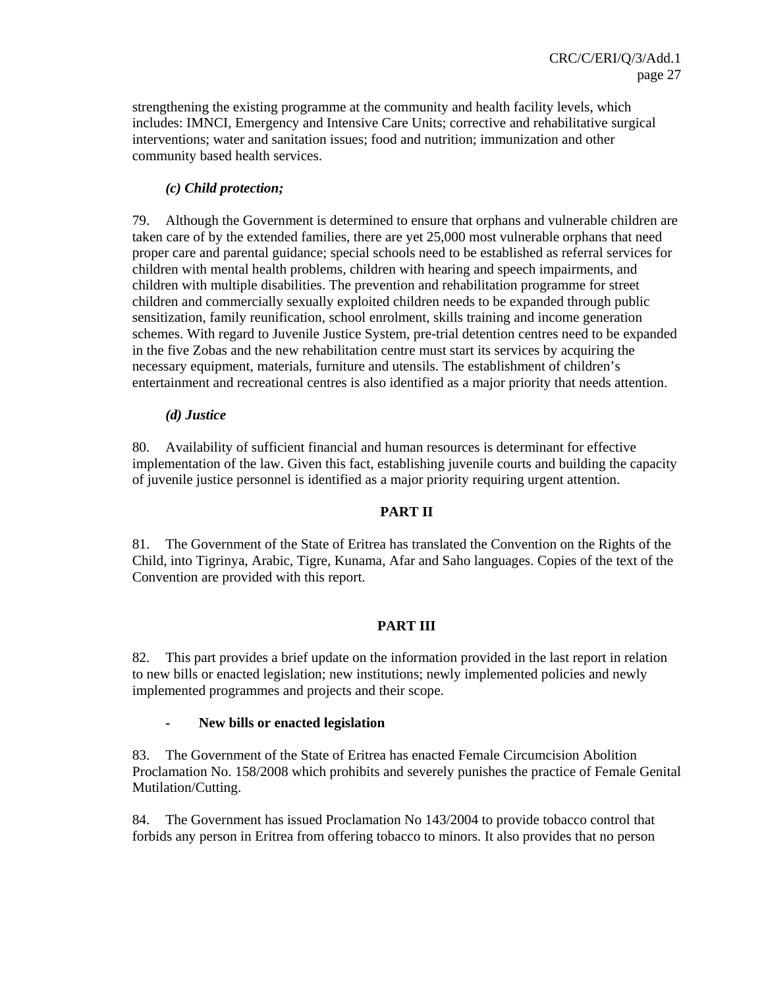strengthening the existing programme at the community and health facility levels, which includes: IMNCI, Emergency and Intensive Care Units; corrective and rehabilitative surgical interventions; water and sanitation issues; food and nutrition; immunization and other community based health services.

### *(c) Child protection;*

79. Although the Government is determined to ensure that orphans and vulnerable children are taken care of by the extended families, there are yet 25,000 most vulnerable orphans that need proper care and parental guidance; special schools need to be established as referral services for children with mental health problems, children with hearing and speech impairments, and children with multiple disabilities. The prevention and rehabilitation programme for street children and commercially sexually exploited children needs to be expanded through public sensitization, family reunification, school enrolment, skills training and income generation schemes. With regard to Juvenile Justice System, pre-trial detention centres need to be expanded in the five Zobas and the new rehabilitation centre must start its services by acquiring the necessary equipment, materials, furniture and utensils. The establishment of children's entertainment and recreational centres is also identified as a major priority that needs attention.

### *(d) Justice*

80. Availability of sufficient financial and human resources is determinant for effective implementation of the law. Given this fact, establishing juvenile courts and building the capacity of juvenile justice personnel is identified as a major priority requiring urgent attention.

#### **PART II**

81. The Government of the State of Eritrea has translated the Convention on the Rights of the Child, into Tigrinya, Arabic, Tigre, Kunama, Afar and Saho languages. Copies of the text of the Convention are provided with this report.

### **PART III**

82. This part provides a brief update on the information provided in the last report in relation to new bills or enacted legislation; new institutions; newly implemented policies and newly implemented programmes and projects and their scope.

#### *-* **New bills or enacted legislation**

83. The Government of the State of Eritrea has enacted Female Circumcision Abolition Proclamation No. 158/2008 which prohibits and severely punishes the practice of Female Genital Mutilation/Cutting.

84. The Government has issued Proclamation No 143/2004 to provide tobacco control that forbids any person in Eritrea from offering tobacco to minors. It also provides that no person